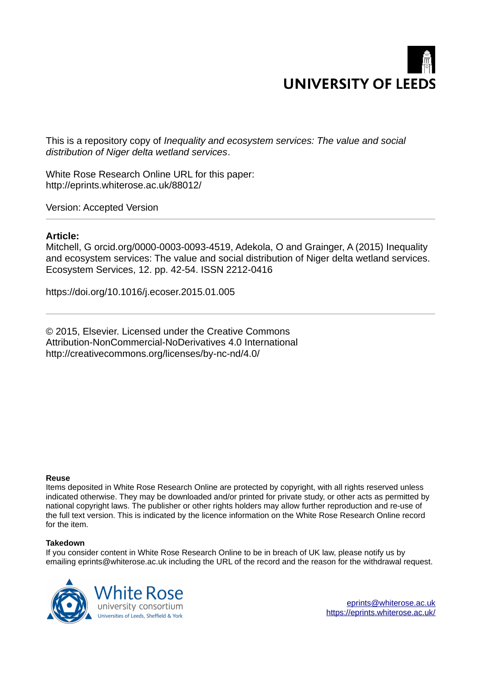

This is a repository copy of *Inequality and ecosystem services: The value and social distribution of Niger delta wetland services*.

White Rose Research Online URL for this paper: http://eprints.whiterose.ac.uk/88012/

Version: Accepted Version

# **Article:**

Mitchell, G orcid.org/0000-0003-0093-4519, Adekola, O and Grainger, A (2015) Inequality and ecosystem services: The value and social distribution of Niger delta wetland services. Ecosystem Services, 12. pp. 42-54. ISSN 2212-0416

https://doi.org/10.1016/j.ecoser.2015.01.005

© 2015, Elsevier. Licensed under the Creative Commons Attribution-NonCommercial-NoDerivatives 4.0 International http://creativecommons.org/licenses/by-nc-nd/4.0/

# **Reuse**

Items deposited in White Rose Research Online are protected by copyright, with all rights reserved unless indicated otherwise. They may be downloaded and/or printed for private study, or other acts as permitted by national copyright laws. The publisher or other rights holders may allow further reproduction and re-use of the full text version. This is indicated by the licence information on the White Rose Research Online record for the item.

# **Takedown**

If you consider content in White Rose Research Online to be in breach of UK law, please notify us by emailing eprints@whiterose.ac.uk including the URL of the record and the reason for the withdrawal request.



[eprints@whiterose.ac.uk](mailto:eprints@whiterose.ac.uk) <https://eprints.whiterose.ac.uk/>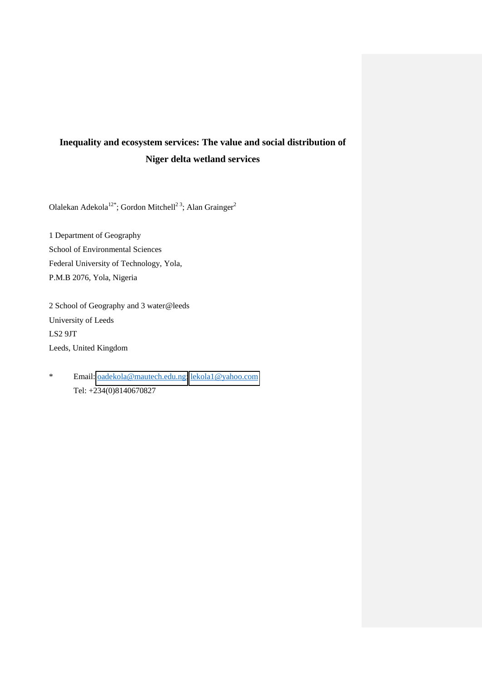# **Inequality and ecosystem services: The value and social distribution of Niger delta wetland services**

Olalekan Adekola<sup>12\*</sup>; Gordon Mitchell<sup>23</sup>; Alan Grainger<sup>2</sup>

1 Department of Geography School of Environmental Sciences Federal University of Technology, Yola, P.M.B 2076, Yola, Nigeria

2 School of Geography and 3 water@leeds University of Leeds LS2 9JT Leeds, United Kingdom

\* Email: [oadekola@mautech.edu.ng;](mailto:oadekola@mautech.edu.ng) [lekola1@yahoo.com](mailto:lekola1@yahoo.com) Tel: +234(0)8140670827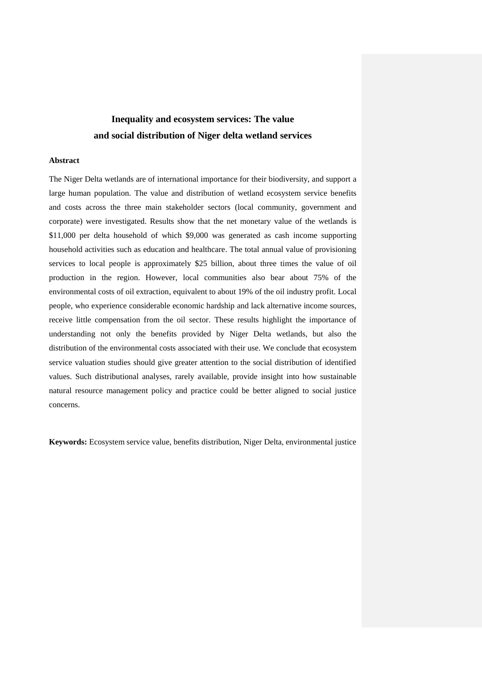# **Inequality and ecosystem services: The value and social distribution of Niger delta wetland services**

## **Abstract**

The Niger Delta wetlands are of international importance for their biodiversity, and support a large human population. The value and distribution of wetland ecosystem service benefits and costs across the three main stakeholder sectors (local community, government and corporate) were investigated. Results show that the net monetary value of the wetlands is \$11,000 per delta household of which \$9,000 was generated as cash income supporting household activities such as education and healthcare. The total annual value of provisioning services to local people is approximately \$25 billion, about three times the value of oil production in the region. However, local communities also bear about 75% of the environmental costs of oil extraction, equivalent to about 19% of the oil industry profit. Local people, who experience considerable economic hardship and lack alternative income sources, receive little compensation from the oil sector. These results highlight the importance of understanding not only the benefits provided by Niger Delta wetlands, but also the distribution of the environmental costs associated with their use. We conclude that ecosystem service valuation studies should give greater attention to the social distribution of identified values. Such distributional analyses, rarely available, provide insight into how sustainable natural resource management policy and practice could be better aligned to social justice concerns.

**Keywords:** Ecosystem service value, benefits distribution, Niger Delta, environmental justice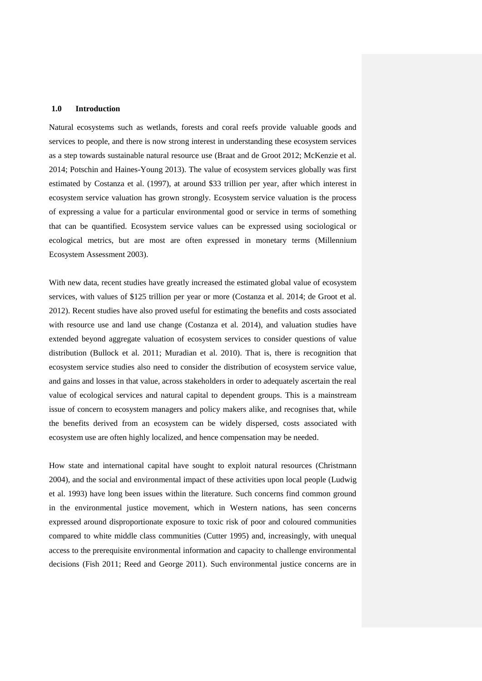#### **1.0 Introduction**

Natural ecosystems such as wetlands, forests and coral reefs provide valuable goods and services to people, and there is now strong interest in understanding these ecosystem services as a step towards sustainable natural resource use (Braat and de Groot 2012; McKenzie et al. 2014; Potschin and Haines-Young 2013). The value of ecosystem services globally was first estimated by Costanza et al. (1997), at around \$33 trillion per year, after which interest in ecosystem service valuation has grown strongly. Ecosystem service valuation is the process of expressing a value for a particular environmental good or service in terms of something that can be quantified. Ecosystem service values can be expressed using sociological or ecological metrics, but are most are often expressed in monetary terms (Millennium Ecosystem Assessment 2003).

With new data, recent studies have greatly increased the estimated global value of ecosystem services, with values of \$125 trillion per year or more (Costanza et al. 2014; de Groot et al. 2012). Recent studies have also proved useful for estimating the benefits and costs associated with resource use and land use change (Costanza et al. 2014), and valuation studies have extended beyond aggregate valuation of ecosystem services to consider questions of value distribution (Bullock et al. 2011; Muradian et al. 2010). That is, there is recognition that ecosystem service studies also need to consider the distribution of ecosystem service value, and gains and losses in that value, across stakeholders in order to adequately ascertain the real value of ecological services and natural capital to dependent groups. This is a mainstream issue of concern to ecosystem managers and policy makers alike, and recognises that, while the benefits derived from an ecosystem can be widely dispersed, costs associated with ecosystem use are often highly localized, and hence compensation may be needed.

How state and international capital have sought to exploit natural resources (Christmann 2004), and the social and environmental impact of these activities upon local people (Ludwig et al. 1993) have long been issues within the literature. Such concerns find common ground in the environmental justice movement, which in Western nations, has seen concerns expressed around disproportionate exposure to toxic risk of poor and coloured communities compared to white middle class communities (Cutter 1995) and, increasingly, with unequal access to the prerequisite environmental information and capacity to challenge environmental decisions (Fish 2011; Reed and George 2011). Such environmental justice concerns are in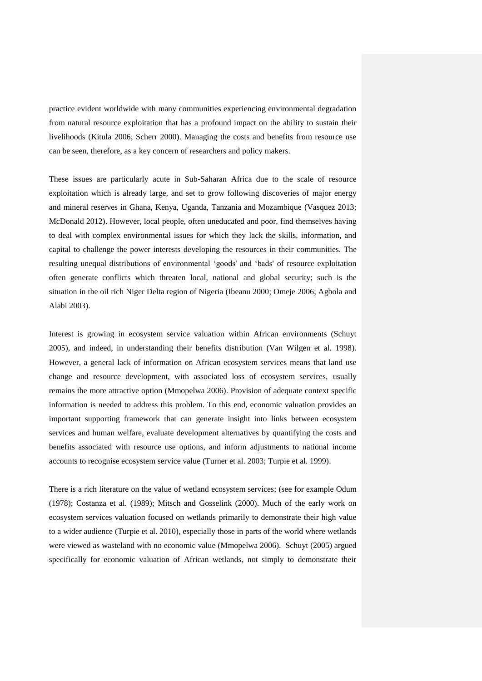practice evident worldwide with many communities experiencing environmental degradation from natural resource exploitation that has a profound impact on the ability to sustain their livelihoods (Kitula 2006; Scherr 2000). Managing the costs and benefits from resource use can be seen, therefore, as a key concern of researchers and policy makers.

These issues are particularly acute in Sub-Saharan Africa due to the scale of resource exploitation which is already large, and set to grow following discoveries of major energy and mineral reserves in Ghana, Kenya, Uganda, Tanzania and Mozambique (Vasquez 2013; McDonald 2012). However, local people, often uneducated and poor, find themselves having to deal with complex environmental issues for which they lack the skills, information, and capital to challenge the power interests developing the resources in their communities. The resulting unequal distributions of environmental 'goods' and 'bads' of resource exploitation often generate conflicts which threaten local, national and global security; such is the situation in the oil rich Niger Delta region of Nigeria (Ibeanu 2000; Omeje 2006; Agbola and Alabi 2003).

Interest is growing in ecosystem service valuation within African environments (Schuyt 2005), and indeed, in understanding their benefits distribution (Van Wilgen et al. 1998). However, a general lack of information on African ecosystem services means that land use change and resource development, with associated loss of ecosystem services, usually remains the more attractive option (Mmopelwa 2006). Provision of adequate context specific information is needed to address this problem. To this end, economic valuation provides an important supporting framework that can generate insight into links between ecosystem services and human welfare, evaluate development alternatives by quantifying the costs and benefits associated with resource use options, and inform adjustments to national income accounts to recognise ecosystem service value (Turner et al. 2003; Turpie et al. 1999).

There is a rich literature on the value of wetland ecosystem services; (see for example Odum (1978); Costanza et al. (1989); Mitsch and Gosselink (2000). Much of the early work on ecosystem services valuation focused on wetlands primarily to demonstrate their high value to a wider audience (Turpie et al. 2010), especially those in parts of the world where wetlands were viewed as wasteland with no economic value (Mmopelwa 2006). Schuyt (2005) argued specifically for economic valuation of African wetlands, not simply to demonstrate their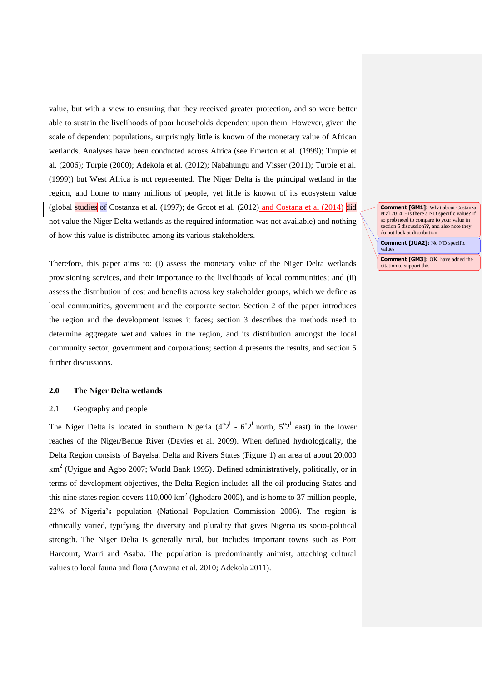value, but with a view to ensuring that they received greater protection, and so were better able to sustain the livelihoods of poor households dependent upon them. However, given the scale of dependent populations, surprisingly little is known of the monetary value of African wetlands. Analyses have been conducted across Africa (see Emerton et al. (1999); Turpie et al. (2006); Turpie (2000); Adekola et al. (2012); Nabahungu and Visser (2011); Turpie et al. (1999)) but West Africa is not represented. The Niger Delta is the principal wetland in the region, and home to many millions of people, yet little is known of its ecosystem value (global studies of Costanza et al.  $(1997)$ ; de Groot et al.  $(2012)$  and Costana et al  $(2014)$  did not value the Niger Delta wetlands as the required information was not available) and nothing of how this value is distributed among its various stakeholders.

Therefore, this paper aims to: (i) assess the monetary value of the Niger Delta wetlands provisioning services, and their importance to the livelihoods of local communities; and (ii) assess the distribution of cost and benefits across key stakeholder groups, which we define as local communities, government and the corporate sector. Section 2 of the paper introduces the region and the development issues it faces; section 3 describes the methods used to determine aggregate wetland values in the region, and its distribution amongst the local community sector, government and corporations; section 4 presents the results, and section 5 further discussions.

# **2.0 The Niger Delta wetlands**

#### 2.1 Geography and people

The Niger Delta is located in southern Nigeria  $(4^{\circ}2^{1} - 6^{\circ}2^{1}$  north,  $5^{\circ}2^{1}$  east) in the lower reaches of the Niger/Benue River (Davies et al. 2009). When defined hydrologically, the Delta Region consists of Bayelsa, Delta and Rivers States (Figure 1) an area of about 20,000 km<sup>2</sup> (Uyigue and Agbo 2007; World Bank 1995). Defined administratively, politically, or in terms of development objectives, the Delta Region includes all the oil producing States and this nine states region covers  $110,000 \text{ km}^2$  (Ighodaro 2005), and is home to 37 million people, 22% of Nigeria's population (National Population Commission 2006). The region is ethnically varied, typifying the diversity and plurality that gives Nigeria its socio-political strength. The Niger Delta is generally rural, but includes important towns such as Port Harcourt, Warri and Asaba. The population is predominantly animist, attaching cultural values to local fauna and flora (Anwana et al. 2010; Adekola 2011).

**Comment [GM1]:** What about Costanza et al 2014 - is there a ND specific value? If so prob need to compare to your value in section 5 discussion??, and also note they do not look at distribution

**Comment [JUA2]:** No ND specific values

**Comment [GM3]: OK, have added the** citation to support this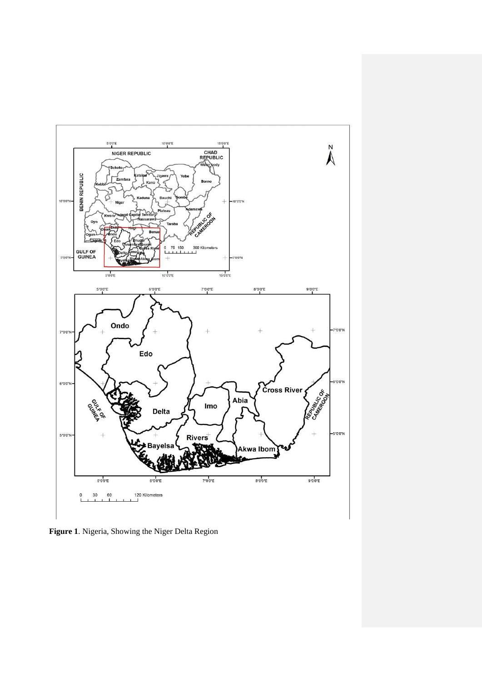

**Figure 1**. Nigeria, Showing the Niger Delta Region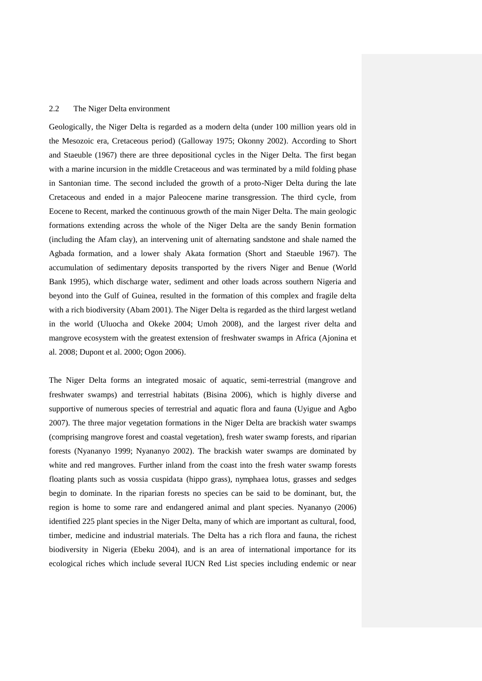#### 2.2 The Niger Delta environment

Geologically, the Niger Delta is regarded as a modern delta (under 100 million years old in the Mesozoic era, Cretaceous period) (Galloway 1975; Okonny 2002). According to Short and Staeuble (1967) there are three depositional cycles in the Niger Delta. The first began with a marine incursion in the middle Cretaceous and was terminated by a mild folding phase in Santonian time. The second included the growth of a proto-Niger Delta during the late Cretaceous and ended in a major Paleocene marine transgression. The third cycle, from Eocene to Recent, marked the continuous growth of the main Niger Delta. The main geologic formations extending across the whole of the Niger Delta are the sandy Benin formation (including the Afam clay), an intervening unit of alternating sandstone and shale named the Agbada formation, and a lower shaly Akata formation (Short and Staeuble 1967). The accumulation of sedimentary deposits transported by the rivers Niger and Benue (World Bank 1995), which discharge water, sediment and other loads across southern Nigeria and beyond into the Gulf of Guinea, resulted in the formation of this complex and fragile delta with a rich biodiversity (Abam 2001). The Niger Delta is regarded as the third largest wetland in the world (Uluocha and Okeke 2004; Umoh 2008), and the largest river delta and mangrove ecosystem with the greatest extension of freshwater swamps in Africa (Ajonina et al. 2008; Dupont et al. 2000; Ogon 2006).

The Niger Delta forms an integrated mosaic of aquatic, semi-terrestrial (mangrove and freshwater swamps) and terrestrial habitats (Bisina 2006), which is highly diverse and supportive of numerous species of terrestrial and aquatic flora and fauna (Uyigue and Agbo 2007). The three major vegetation formations in the Niger Delta are brackish water swamps (comprising mangrove forest and coastal vegetation), fresh water swamp forests, and riparian forests (Nyananyo 1999; Nyananyo 2002). The brackish water swamps are dominated by white and red mangroves. Further inland from the coast into the fresh water swamp forests floating plants such as vossia cuspidata (hippo grass), nymphaea lotus, grasses and sedges begin to dominate. In the riparian forests no species can be said to be dominant, but, the region is home to some rare and endangered animal and plant species. Nyananyo (2006) identified 225 plant species in the Niger Delta, many of which are important as cultural, food, timber, medicine and industrial materials. The Delta has a rich flora and fauna, the richest biodiversity in Nigeria (Ebeku 2004), and is an area of international importance for its ecological riches which include several IUCN Red List species including endemic or near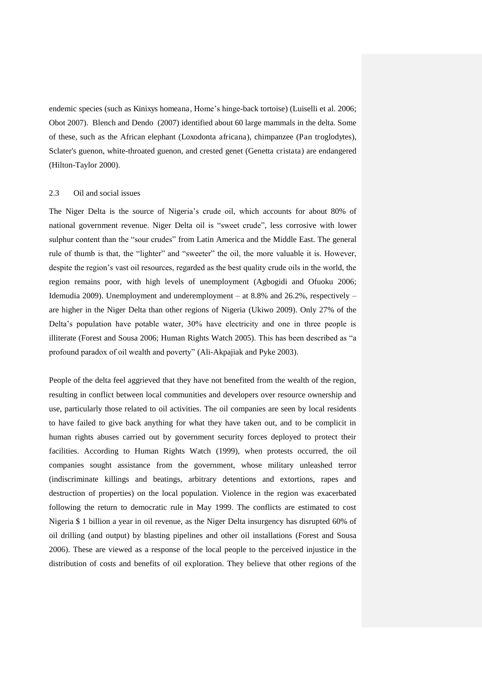endemic species (such as Kinixys homeana, Home's hinge-back tortoise) (Luiselli et al. 2006; Obot 2007). Blench and Dendo (2007) identified about 60 large mammals in the delta. Some of these, such as the African elephant (Loxodonta africana), chimpanzee (Pan troglodytes), Sclater's guenon, white-throated guenon, and crested genet (Genetta cristata) are endangered (Hilton-Taylor 2000).

# 2.3 Oil and social issues

The Niger Delta is the source of Nigeria's crude oil, which accounts for about 80% of national government revenue. Niger Delta oil is "sweet crude", less corrosive with lower sulphur content than the "sour crudes" from Latin America and the Middle East. The general rule of thumb is that, the "lighter" and "sweeter" the oil, the more valuable it is. However, despite the region's vast oil resources, regarded as the best quality crude oils in the world, the region remains poor, with high levels of unemployment (Agbogidi and Ofuoku 2006; Idemudia 2009). Unemployment and underemployment – at 8.8% and 26.2%, respectively – are higher in the Niger Delta than other regions of Nigeria (Ukiwo 2009). Only 27% of the Delta's population have potable water, 30% have electricity and one in three people is illiterate (Forest and Sousa 2006; Human Rights Watch 2005). This has been described as "a profound paradox of oil wealth and poverty" (Ali-Akpajiak and Pyke 2003).

People of the delta feel aggrieved that they have not benefited from the wealth of the region, resulting in conflict between local communities and developers over resource ownership and use, particularly those related to oil activities. The oil companies are seen by local residents to have failed to give back anything for what they have taken out, and to be complicit in human rights abuses carried out by government security forces deployed to protect their facilities. According to Human Rights Watch (1999), when protests occurred, the oil companies sought assistance from the government, whose military unleashed terror (indiscriminate killings and beatings, arbitrary detentions and extortions, rapes and destruction of properties) on the local population. Violence in the region was exacerbated following the return to democratic rule in May 1999. The conflicts are estimated to cost Nigeria \$ 1 billion a year in oil revenue, as the Niger Delta insurgency has disrupted 60% of oil drilling (and output) by blasting pipelines and other oil installations (Forest and Sousa 2006). These are viewed as a response of the local people to the perceived injustice in the distribution of costs and benefits of oil exploration. They believe that other regions of the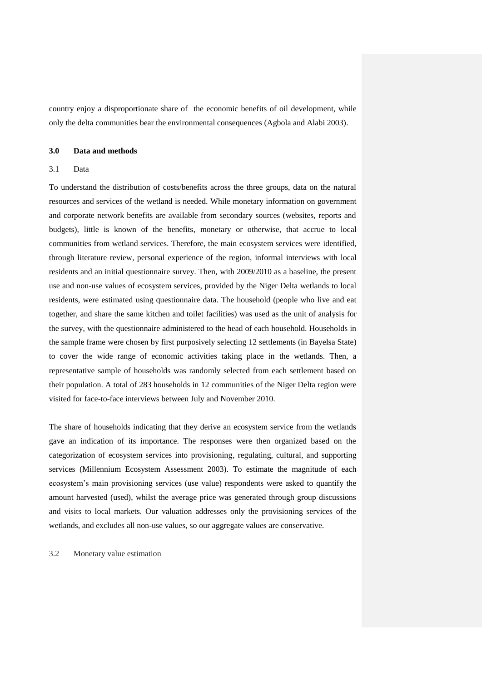country enjoy a disproportionate share of the economic benefits of oil development, while only the delta communities bear the environmental consequences (Agbola and Alabi 2003).

# **3.0 Data and methods**

# 3.1 Data

To understand the distribution of costs/benefits across the three groups, data on the natural resources and services of the wetland is needed. While monetary information on government and corporate network benefits are available from secondary sources (websites, reports and budgets), little is known of the benefits, monetary or otherwise, that accrue to local communities from wetland services. Therefore, the main ecosystem services were identified, through literature review, personal experience of the region, informal interviews with local residents and an initial questionnaire survey. Then, with 2009/2010 as a baseline, the present use and non-use values of ecosystem services, provided by the Niger Delta wetlands to local residents, were estimated using questionnaire data. The household (people who live and eat together, and share the same kitchen and toilet facilities) was used as the unit of analysis for the survey, with the questionnaire administered to the head of each household. Households in the sample frame were chosen by first purposively selecting 12 settlements (in Bayelsa State) to cover the wide range of economic activities taking place in the wetlands. Then, a representative sample of households was randomly selected from each settlement based on their population. A total of 283 households in 12 communities of the Niger Delta region were visited for face-to-face interviews between July and November 2010.

The share of households indicating that they derive an ecosystem service from the wetlands gave an indication of its importance. The responses were then organized based on the categorization of ecosystem services into provisioning, regulating, cultural, and supporting services (Millennium Ecosystem Assessment 2003). To estimate the magnitude of each ecosystem's main provisioning services (use value) respondents were asked to quantify the amount harvested (used), whilst the average price was generated through group discussions and visits to local markets. Our valuation addresses only the provisioning services of the wetlands, and excludes all non-use values, so our aggregate values are conservative.

3.2 Monetary value estimation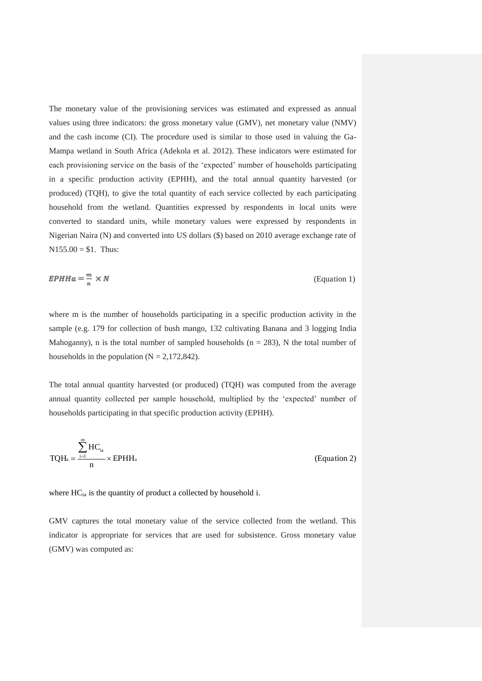The monetary value of the provisioning services was estimated and expressed as annual values using three indicators: the gross monetary value (GMV), net monetary value (NMV) and the cash income (CI). The procedure used is similar to those used in valuing the Ga-Mampa wetland in South Africa (Adekola et al. 2012). These indicators were estimated for each provisioning service on the basis of the 'expected' number of households participating in a specific production activity (EPHH), and the total annual quantity harvested (or produced) (TQH), to give the total quantity of each service collected by each participating household from the wetland. Quantities expressed by respondents in local units were converted to standard units, while monetary values were expressed by respondents in Nigerian Naira (N) and converted into US dollars (\$) based on 2010 average exchange rate of  $N155.00 = $1$ . Thus:

$$
EPHHa = \frac{m}{n} \times N \tag{Equation 1}
$$

where m is the number of households participating in a specific production activity in the sample (e.g. 179 for collection of bush mango, 132 cultivating Banana and 3 logging India Mahoganny), n is the total number of sampled households  $(n = 283)$ , N the total number of households in the population  $(N = 2,172,842)$ .

The total annual quantity harvested (or produced) (TQH) was computed from the average annual quantity collected per sample household, multiplied by the 'expected' number of households participating in that specific production activity (EPHH).

$$
TQH_a = \frac{\sum_{i=1}^{m} HC_{ia}}{n} \times EPHH_a
$$
 (Equation 2)

where HC<sub>ia</sub> is the quantity of product a collected by household i.

GMV captures the total monetary value of the service collected from the wetland. This indicator is appropriate for services that are used for subsistence. Gross monetary value (GMV) was computed as: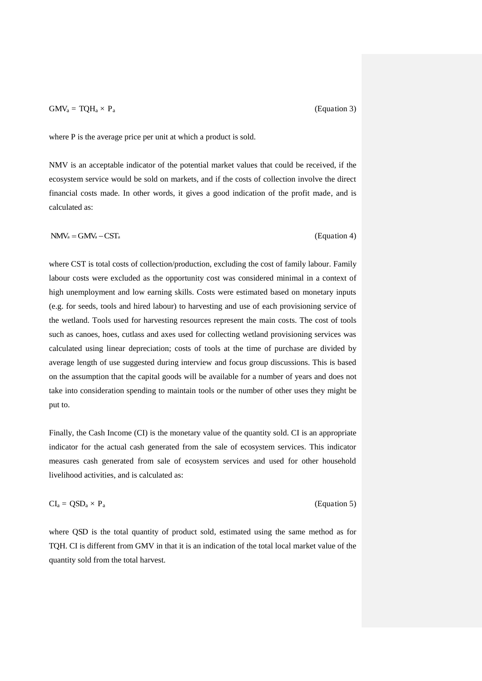## $\text{GMV}_a = \text{TQH}_a \times \text{P}_a$  (Equation 3)

where P is the average price per unit at which a product is sold.

NMV is an acceptable indicator of the potential market values that could be received, if the ecosystem service would be sold on markets, and if the costs of collection involve the direct financial costs made. In other words, it gives a good indication of the profit made, and is calculated as:

 $NMV_a = GMV_a - CST_a$  (Equation 4)

where CST is total costs of collection/production, excluding the cost of family labour. Family labour costs were excluded as the opportunity cost was considered minimal in a context of high unemployment and low earning skills. Costs were estimated based on monetary inputs (e.g. for seeds, tools and hired labour) to harvesting and use of each provisioning service of the wetland. Tools used for harvesting resources represent the main costs. The cost of tools such as canoes, hoes, cutlass and axes used for collecting wetland provisioning services was calculated using linear depreciation; costs of tools at the time of purchase are divided by average length of use suggested during interview and focus group discussions. This is based on the assumption that the capital goods will be available for a number of years and does not take into consideration spending to maintain tools or the number of other uses they might be put to.

Finally, the Cash Income (CI) is the monetary value of the quantity sold. CI is an appropriate indicator for the actual cash generated from the sale of ecosystem services. This indicator measures cash generated from sale of ecosystem services and used for other household livelihood activities, and is calculated as:

$$
CI_a = QSD_a \times P_a
$$
 (Equation 5)

where QSD is the total quantity of product sold, estimated using the same method as for TQH. CI is different from GMV in that it is an indication of the total local market value of the quantity sold from the total harvest.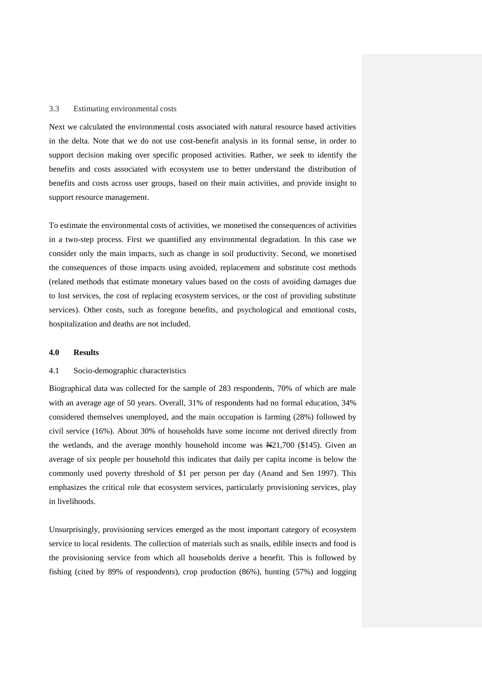#### 3.3 Estimating environmental costs

Next we calculated the environmental costs associated with natural resource based activities in the delta. Note that we do not use cost-benefit analysis in its formal sense, in order to support decision making over specific proposed activities. Rather, we seek to identify the benefits and costs associated with ecosystem use to better understand the distribution of benefits and costs across user groups, based on their main activities, and provide insight to support resource management.

To estimate the environmental costs of activities, we monetised the consequences of activities in a two-step process. First we quantified any environmental degradation. In this case we consider only the main impacts, such as change in soil productivity. Second, we monetised the consequences of those impacts using avoided, replacement and substitute cost methods (related methods that estimate monetary values based on the costs of avoiding damages due to lost services, the cost of replacing ecosystem services, or the cost of providing substitute services). Other costs, such as foregone benefits, and psychological and emotional costs, hospitalization and deaths are not included.

# **4.0 Results**

# 4.1 Socio-demographic characteristics

Biographical data was collected for the sample of 283 respondents, 70% of which are male with an average age of 50 years. Overall, 31% of respondents had no formal education, 34% considered themselves unemployed, and the main occupation is farming (28%) followed by civil service (16%). About 30% of households have some income not derived directly from the wetlands, and the average monthly household income was  $\frac{121}{700}$  (\$145). Given an average of six people per household this indicates that daily per capita income is below the commonly used poverty threshold of \$1 per person per day (Anand and Sen 1997). This emphasizes the critical role that ecosystem services, particularly provisioning services, play in livelihoods.

Unsurprisingly, provisioning services emerged as the most important category of ecosystem service to local residents. The collection of materials such as snails, edible insects and food is the provisioning service from which all households derive a benefit. This is followed by fishing (cited by 89% of respondents), crop production (86%), hunting (57%) and logging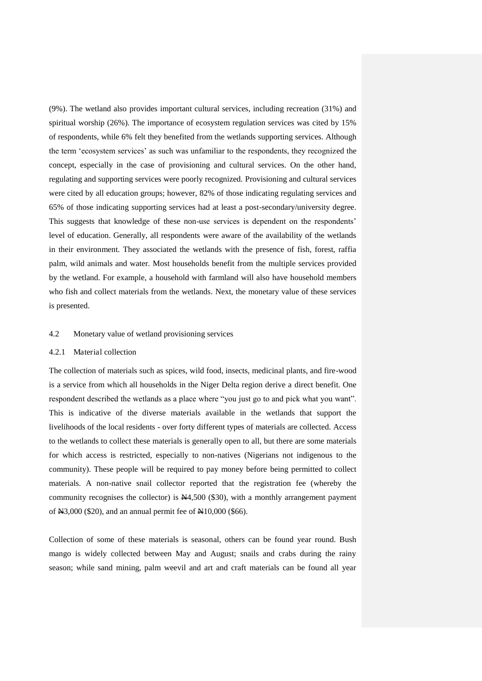(9%). The wetland also provides important cultural services, including recreation (31%) and spiritual worship (26%). The importance of ecosystem regulation services was cited by 15% of respondents, while 6% felt they benefited from the wetlands supporting services. Although the term 'ecosystem services' as such was unfamiliar to the respondents, they recognized the concept, especially in the case of provisioning and cultural services. On the other hand, regulating and supporting services were poorly recognized. Provisioning and cultural services were cited by all education groups; however, 82% of those indicating regulating services and 65% of those indicating supporting services had at least a post-secondary/university degree. This suggests that knowledge of these non-use services is dependent on the respondents' level of education. Generally, all respondents were aware of the availability of the wetlands in their environment. They associated the wetlands with the presence of fish, forest, raffia palm, wild animals and water. Most households benefit from the multiple services provided by the wetland. For example, a household with farmland will also have household members who fish and collect materials from the wetlands. Next, the monetary value of these services is presented.

# 4.2 Monetary value of wetland provisioning services

## 4.2.1 Material collection

The collection of materials such as spices, wild food, insects, medicinal plants, and fire-wood is a service from which all households in the Niger Delta region derive a direct benefit. One respondent described the wetlands as a place where "you just go to and pick what you want". This is indicative of the diverse materials available in the wetlands that support the livelihoods of the local residents - over forty different types of materials are collected. Access to the wetlands to collect these materials is generally open to all, but there are some materials for which access is restricted, especially to non-natives (Nigerians not indigenous to the community). These people will be required to pay money before being permitted to collect materials. A non-native snail collector reported that the registration fee (whereby the community recognises the collector) is  $\mathbb{N}4,500$  (\$30), with a monthly arrangement payment of  $\text{H}3,000$  (\$20), and an annual permit fee of  $\text{H}10,000$  (\$66).

Collection of some of these materials is seasonal, others can be found year round. Bush mango is widely collected between May and August; snails and crabs during the rainy season; while sand mining, palm weevil and art and craft materials can be found all year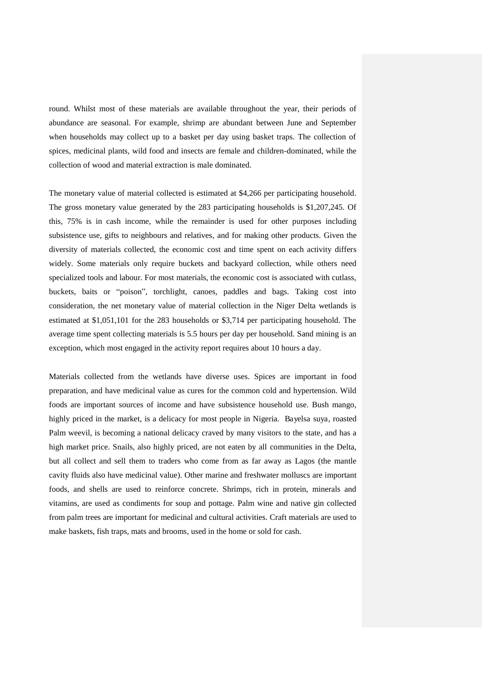round. Whilst most of these materials are available throughout the year, their periods of abundance are seasonal. For example, shrimp are abundant between June and September when households may collect up to a basket per day using basket traps. The collection of spices, medicinal plants, wild food and insects are female and children-dominated, while the collection of wood and material extraction is male dominated.

The monetary value of material collected is estimated at \$4,266 per participating household. The gross monetary value generated by the 283 participating households is \$1,207,245. Of this, 75% is in cash income, while the remainder is used for other purposes including subsistence use, gifts to neighbours and relatives, and for making other products. Given the diversity of materials collected, the economic cost and time spent on each activity differs widely. Some materials only require buckets and backyard collection, while others need specialized tools and labour. For most materials, the economic cost is associated with cutlass, buckets, baits or "poison", torchlight, canoes, paddles and bags. Taking cost into consideration, the net monetary value of material collection in the Niger Delta wetlands is estimated at \$1,051,101 for the 283 households or \$3,714 per participating household. The average time spent collecting materials is 5.5 hours per day per household. Sand mining is an exception, which most engaged in the activity report requires about 10 hours a day.

Materials collected from the wetlands have diverse uses. Spices are important in food preparation, and have medicinal value as cures for the common cold and hypertension. Wild foods are important sources of income and have subsistence household use. Bush mango, highly priced in the market, is a delicacy for most people in Nigeria. Bayelsa suya, roasted Palm weevil, is becoming a national delicacy craved by many visitors to the state, and has a high market price. Snails, also highly priced, are not eaten by all communities in the Delta, but all collect and sell them to traders who come from as far away as Lagos (the mantle cavity fluids also have medicinal value). Other marine and freshwater molluscs are important foods, and shells are used to reinforce concrete. Shrimps, rich in protein, minerals and vitamins, are used as condiments for soup and pottage. Palm wine and native gin collected from palm trees are important for medicinal and cultural activities. Craft materials are used to make baskets, fish traps, mats and brooms, used in the home or sold for cash.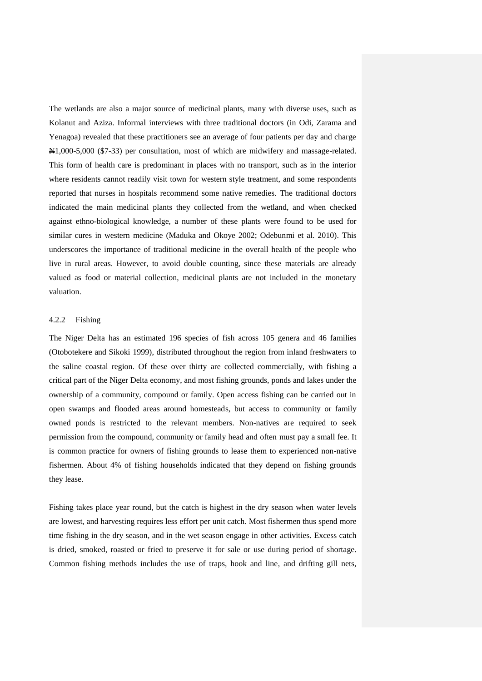The wetlands are also a major source of medicinal plants, many with diverse uses, such as Kolanut and Aziza. Informal interviews with three traditional doctors (in Odi, Zarama and Yenagoa) revealed that these practitioners see an average of four patients per day and charge N1,000-5,000 (\$7-33) per consultation, most of which are midwifery and massage-related. This form of health care is predominant in places with no transport, such as in the interior where residents cannot readily visit town for western style treatment, and some respondents reported that nurses in hospitals recommend some native remedies. The traditional doctors indicated the main medicinal plants they collected from the wetland, and when checked against ethno-biological knowledge, a number of these plants were found to be used for similar cures in western medicine (Maduka and Okoye 2002; Odebunmi et al. 2010). This underscores the importance of traditional medicine in the overall health of the people who live in rural areas. However, to avoid double counting, since these materials are already valued as food or material collection, medicinal plants are not included in the monetary valuation.

# 4.2.2 Fishing

The Niger Delta has an estimated 196 species of fish across 105 genera and 46 families (Otobotekere and Sikoki 1999), distributed throughout the region from inland freshwaters to the saline coastal region. Of these over thirty are collected commercially, with fishing a critical part of the Niger Delta economy, and most fishing grounds, ponds and lakes under the ownership of a community, compound or family. Open access fishing can be carried out in open swamps and flooded areas around homesteads, but access to community or family owned ponds is restricted to the relevant members. Non-natives are required to seek permission from the compound, community or family head and often must pay a small fee. It is common practice for owners of fishing grounds to lease them to experienced non-native fishermen. About 4% of fishing households indicated that they depend on fishing grounds they lease.

Fishing takes place year round, but the catch is highest in the dry season when water levels are lowest, and harvesting requires less effort per unit catch. Most fishermen thus spend more time fishing in the dry season, and in the wet season engage in other activities. Excess catch is dried, smoked, roasted or fried to preserve it for sale or use during period of shortage. Common fishing methods includes the use of traps, hook and line, and drifting gill nets,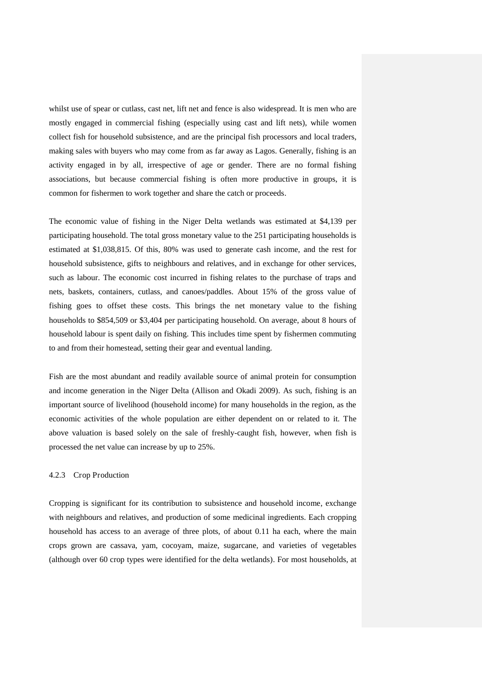whilst use of spear or cutlass, cast net, lift net and fence is also widespread. It is men who are mostly engaged in commercial fishing (especially using cast and lift nets), while women collect fish for household subsistence, and are the principal fish processors and local traders, making sales with buyers who may come from as far away as Lagos. Generally, fishing is an activity engaged in by all, irrespective of age or gender. There are no formal fishing associations, but because commercial fishing is often more productive in groups, it is common for fishermen to work together and share the catch or proceeds.

The economic value of fishing in the Niger Delta wetlands was estimated at \$4,139 per participating household. The total gross monetary value to the 251 participating households is estimated at \$1,038,815. Of this, 80% was used to generate cash income, and the rest for household subsistence, gifts to neighbours and relatives, and in exchange for other services, such as labour. The economic cost incurred in fishing relates to the purchase of traps and nets, baskets, containers, cutlass, and canoes/paddles. About 15% of the gross value of fishing goes to offset these costs. This brings the net monetary value to the fishing households to \$854,509 or \$3,404 per participating household. On average, about 8 hours of household labour is spent daily on fishing. This includes time spent by fishermen commuting to and from their homestead, setting their gear and eventual landing.

Fish are the most abundant and readily available source of animal protein for consumption and income generation in the Niger Delta (Allison and Okadi 2009). As such, fishing is an important source of livelihood (household income) for many households in the region, as the economic activities of the whole population are either dependent on or related to it. The above valuation is based solely on the sale of freshly-caught fish, however, when fish is processed the net value can increase by up to 25%.

# 4.2.3 Crop Production

Cropping is significant for its contribution to subsistence and household income, exchange with neighbours and relatives, and production of some medicinal ingredients. Each cropping household has access to an average of three plots, of about 0.11 ha each, where the main crops grown are cassava, yam, cocoyam, maize, sugarcane, and varieties of vegetables (although over 60 crop types were identified for the delta wetlands). For most households, at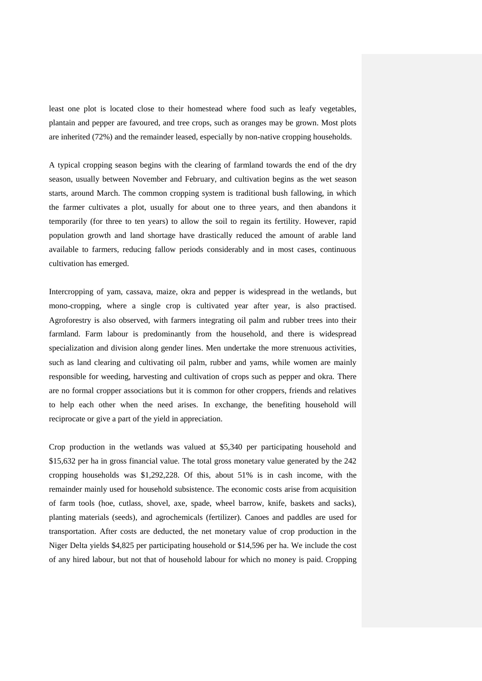least one plot is located close to their homestead where food such as leafy vegetables, plantain and pepper are favoured, and tree crops, such as oranges may be grown. Most plots are inherited (72%) and the remainder leased, especially by non-native cropping households.

A typical cropping season begins with the clearing of farmland towards the end of the dry season, usually between November and February, and cultivation begins as the wet season starts, around March. The common cropping system is traditional bush fallowing, in which the farmer cultivates a plot, usually for about one to three years, and then abandons it temporarily (for three to ten years) to allow the soil to regain its fertility. However, rapid population growth and land shortage have drastically reduced the amount of arable land available to farmers, reducing fallow periods considerably and in most cases, continuous cultivation has emerged.

Intercropping of yam, cassava, maize, okra and pepper is widespread in the wetlands, but mono-cropping, where a single crop is cultivated year after year, is also practised. Agroforestry is also observed, with farmers integrating oil palm and rubber trees into their farmland. Farm labour is predominantly from the household, and there is widespread specialization and division along gender lines. Men undertake the more strenuous activities, such as land clearing and cultivating oil palm, rubber and yams, while women are mainly responsible for weeding, harvesting and cultivation of crops such as pepper and okra. There are no formal cropper associations but it is common for other croppers, friends and relatives to help each other when the need arises. In exchange, the benefiting household will reciprocate or give a part of the yield in appreciation.

Crop production in the wetlands was valued at \$5,340 per participating household and \$15,632 per ha in gross financial value. The total gross monetary value generated by the 242 cropping households was \$1,292,228. Of this, about 51% is in cash income, with the remainder mainly used for household subsistence. The economic costs arise from acquisition of farm tools (hoe, cutlass, shovel, axe, spade, wheel barrow, knife, baskets and sacks), planting materials (seeds), and agrochemicals (fertilizer). Canoes and paddles are used for transportation. After costs are deducted, the net monetary value of crop production in the Niger Delta yields \$4,825 per participating household or \$14,596 per ha. We include the cost of any hired labour, but not that of household labour for which no money is paid. Cropping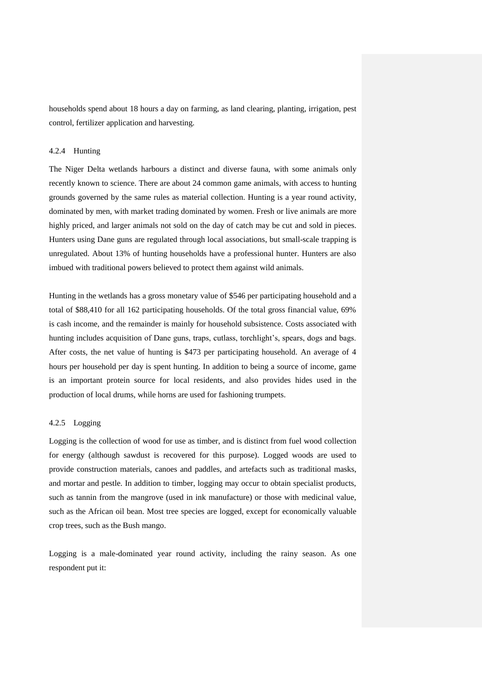households spend about 18 hours a day on farming, as land clearing, planting, irrigation, pest control, fertilizer application and harvesting.

#### 4.2.4 Hunting

The Niger Delta wetlands harbours a distinct and diverse fauna, with some animals only recently known to science. There are about 24 common game animals, with access to hunting grounds governed by the same rules as material collection. Hunting is a year round activity, dominated by men, with market trading dominated by women. Fresh or live animals are more highly priced, and larger animals not sold on the day of catch may be cut and sold in pieces. Hunters using Dane guns are regulated through local associations, but small-scale trapping is unregulated. About 13% of hunting households have a professional hunter. Hunters are also imbued with traditional powers believed to protect them against wild animals.

Hunting in the wetlands has a gross monetary value of \$546 per participating household and a total of \$88,410 for all 162 participating households. Of the total gross financial value, 69% is cash income, and the remainder is mainly for household subsistence. Costs associated with hunting includes acquisition of Dane guns, traps, cutlass, torchlight's, spears, dogs and bags. After costs, the net value of hunting is \$473 per participating household. An average of 4 hours per household per day is spent hunting. In addition to being a source of income, game is an important protein source for local residents, and also provides hides used in the production of local drums, while horns are used for fashioning trumpets.

#### 4.2.5 Logging

Logging is the collection of wood for use as timber, and is distinct from fuel wood collection for energy (although sawdust is recovered for this purpose). Logged woods are used to provide construction materials, canoes and paddles, and artefacts such as traditional masks, and mortar and pestle. In addition to timber, logging may occur to obtain specialist products, such as tannin from the mangrove (used in ink manufacture) or those with medicinal value, such as the African oil bean. Most tree species are logged, except for economically valuable crop trees, such as the Bush mango.

Logging is a male-dominated year round activity, including the rainy season. As one respondent put it: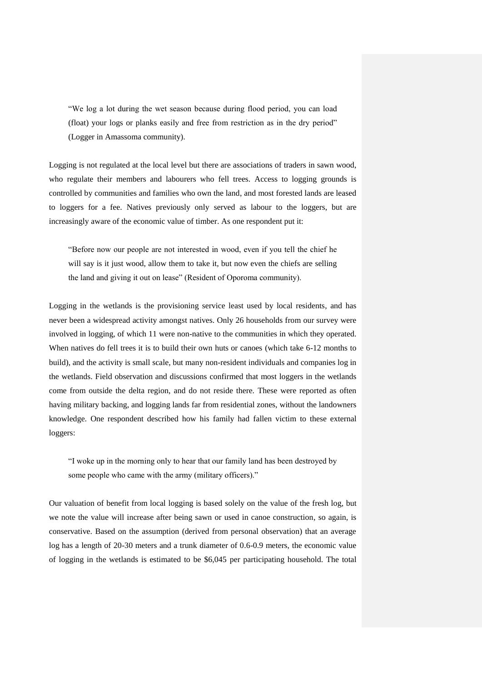"We log a lot during the wet season because during flood period, you can load (float) your logs or planks easily and free from restriction as in the dry period" (Logger in Amassoma community).

Logging is not regulated at the local level but there are associations of traders in sawn wood, who regulate their members and labourers who fell trees. Access to logging grounds is controlled by communities and families who own the land, and most forested lands are leased to loggers for a fee. Natives previously only served as labour to the loggers, but are increasingly aware of the economic value of timber. As one respondent put it:

"Before now our people are not interested in wood, even if you tell the chief he will say is it just wood, allow them to take it, but now even the chiefs are selling the land and giving it out on lease" (Resident of Oporoma community).

Logging in the wetlands is the provisioning service least used by local residents, and has never been a widespread activity amongst natives. Only 26 households from our survey were involved in logging, of which 11 were non-native to the communities in which they operated. When natives do fell trees it is to build their own huts or canoes (which take 6-12 months to build), and the activity is small scale, but many non-resident individuals and companies log in the wetlands. Field observation and discussions confirmed that most loggers in the wetlands come from outside the delta region, and do not reside there. These were reported as often having military backing, and logging lands far from residential zones, without the landowners knowledge. One respondent described how his family had fallen victim to these external loggers:

"I woke up in the morning only to hear that our family land has been destroyed by some people who came with the army (military officers)."

Our valuation of benefit from local logging is based solely on the value of the fresh log, but we note the value will increase after being sawn or used in canoe construction, so again, is conservative. Based on the assumption (derived from personal observation) that an average log has a length of 20-30 meters and a trunk diameter of 0.6-0.9 meters, the economic value of logging in the wetlands is estimated to be \$6,045 per participating household. The total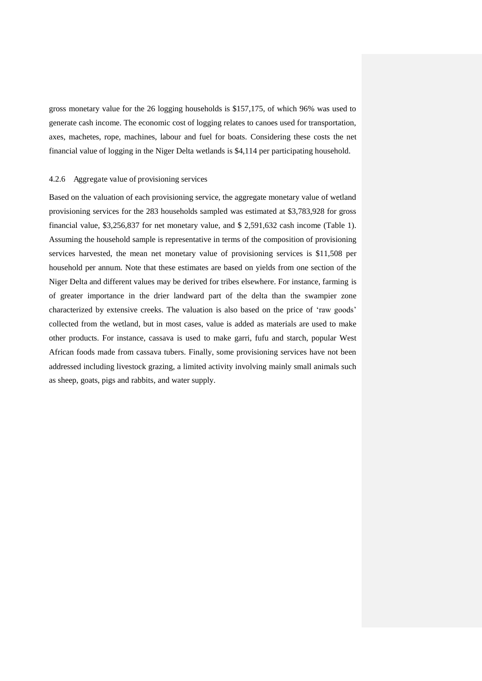gross monetary value for the 26 logging households is \$157,175, of which 96% was used to generate cash income. The economic cost of logging relates to canoes used for transportation, axes, machetes, rope, machines, labour and fuel for boats. Considering these costs the net financial value of logging in the Niger Delta wetlands is \$4,114 per participating household.

#### 4.2.6 Aggregate value of provisioning services

Based on the valuation of each provisioning service, the aggregate monetary value of wetland provisioning services for the 283 households sampled was estimated at \$3,783,928 for gross financial value, \$3,256,837 for net monetary value, and \$ 2,591,632 cash income (Table 1). Assuming the household sample is representative in terms of the composition of provisioning services harvested, the mean net monetary value of provisioning services is \$11,508 per household per annum. Note that these estimates are based on yields from one section of the Niger Delta and different values may be derived for tribes elsewhere. For instance, farming is of greater importance in the drier landward part of the delta than the swampier zone characterized by extensive creeks. The valuation is also based on the price of 'raw goods' collected from the wetland, but in most cases, value is added as materials are used to make other products. For instance, cassava is used to make garri, fufu and starch, popular West African foods made from cassava tubers. Finally, some provisioning services have not been addressed including livestock grazing, a limited activity involving mainly small animals such as sheep, goats, pigs and rabbits, and water supply.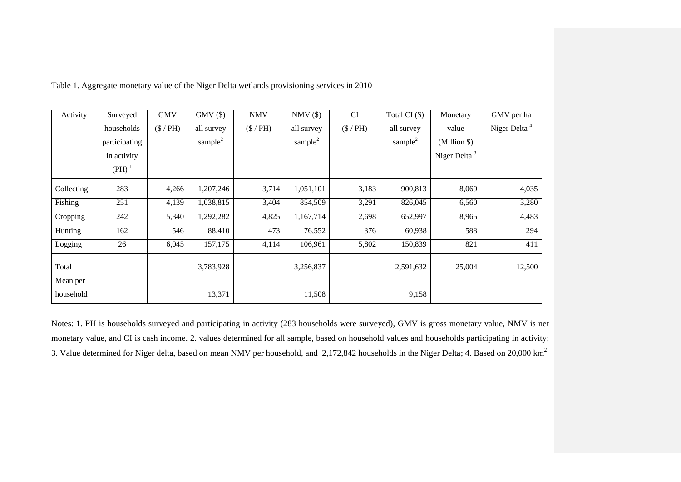| Activity   | Surveyed      | <b>GMV</b>  | $GMV$ $(\$)$  | <b>NMV</b>  | $NMV(\$)$           | <b>CI</b> | Total CI $($ \$)    | Monetary                 | GMV per ha               |
|------------|---------------|-------------|---------------|-------------|---------------------|-----------|---------------------|--------------------------|--------------------------|
|            | households    | $(\$ / PH)$ | all survey    | $(\$ / PH)$ | all survey          | $(\$/PH)$ | all survey          | value                    | Niger Delta <sup>4</sup> |
|            | participating |             | sample $^{2}$ |             | sample <sup>2</sup> |           | sample <sup>2</sup> | (Million \$)             |                          |
|            | in activity   |             |               |             |                     |           |                     | Niger Delta <sup>3</sup> |                          |
|            | $(PH)^1$      |             |               |             |                     |           |                     |                          |                          |
| Collecting | 283           | 4,266       | 1,207,246     | 3,714       | 1,051,101           | 3,183     | 900,813             | 8,069                    | 4,035                    |
| Fishing    | 251           | 4,139       | 1,038,815     | 3,404       | 854,509             | 3,291     | 826,045             | 6,560                    | 3,280                    |
| Cropping   | 242           | 5,340       | 1,292,282     | 4,825       | 1,167,714           | 2,698     | 652,997             | 8,965                    | 4,483                    |
| Hunting    | 162           | 546         | 88,410        | 473         | 76,552              | 376       | 60,938              | 588                      | 294                      |
| Logging    | 26            | 6,045       | 157,175       | 4,114       | 106,961             | 5,802     | 150,839             | 821                      | 411                      |
| Total      |               |             | 3,783,928     |             | 3,256,837           |           | 2,591,632           | 25,004                   | 12,500                   |
| Mean per   |               |             |               |             |                     |           |                     |                          |                          |
| household  |               |             | 13,371        |             | 11,508              |           | 9,158               |                          |                          |

Table 1. Aggregate monetary value of the Niger Delta wetlands provisioning services in 2010

Notes: 1. PH is households surveyed and participating in activity (283 households were surveyed), GMV is gross monetary value, NMV is net monetary value, and CI is cash income. 2. values determined for all sample, based on household values and households participating in activity; 3. Value determined for Niger delta, based on mean NMV per household, and 2,172,842 households in the Niger Delta; 4. Based on 20,000 km<sup>2</sup>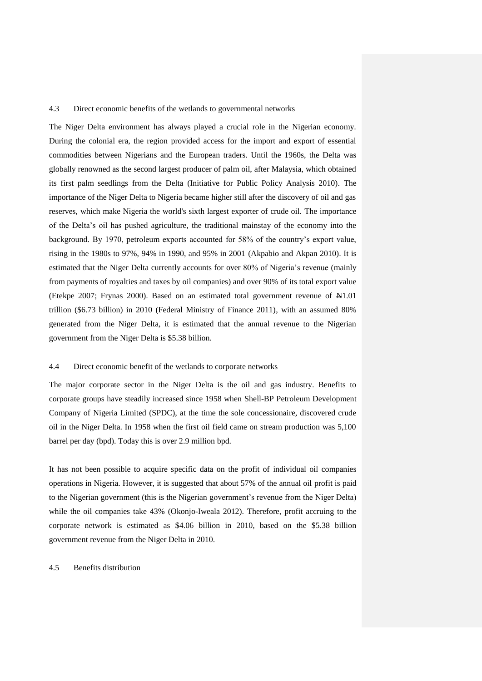#### 4.3 Direct economic benefits of the wetlands to governmental networks

The Niger Delta environment has always played a crucial role in the Nigerian economy. During the colonial era, the region provided access for the import and export of essential commodities between Nigerians and the European traders. Until the 1960s, the Delta was globally renowned as the second largest producer of palm oil, after Malaysia, which obtained its first palm seedlings from the Delta (Initiative for Public Policy Analysis 2010). The importance of the Niger Delta to Nigeria became higher still after the discovery of oil and gas reserves, which make Nigeria the world's sixth largest exporter of crude oil. The importance of the Delta's oil has pushed agriculture, the traditional mainstay of the economy into the background. By 1970, petroleum exports accounted for 58% of the country's export value, rising in the 1980s to 97%, 94% in 1990, and 95% in 2001 (Akpabio and Akpan 2010). It is estimated that the Niger Delta currently accounts for over 80% of Nigeria's revenue (mainly from payments of royalties and taxes by oil companies) and over 90% of its total export value (Etekpe 2007; Frynas 2000). Based on an estimated total government revenue of N1.01 trillion (\$6.73 billion) in 2010 (Federal Ministry of Finance 2011), with an assumed 80% generated from the Niger Delta, it is estimated that the annual revenue to the Nigerian government from the Niger Delta is \$5.38 billion.

# 4.4 Direct economic benefit of the wetlands to corporate networks

The major corporate sector in the Niger Delta is the oil and gas industry. Benefits to corporate groups have steadily increased since 1958 when Shell-BP Petroleum Development Company of Nigeria Limited (SPDC), at the time the sole concessionaire, discovered crude oil in the Niger Delta. In 1958 when the first oil field came on stream production was 5,100 barrel per day (bpd). Today this is over 2.9 million bpd.

It has not been possible to acquire specific data on the profit of individual oil companies operations in Nigeria. However, it is suggested that about 57% of the annual oil profit is paid to the Nigerian government (this is the Nigerian government's revenue from the Niger Delta) while the oil companies take 43% (Okonjo-Iweala 2012). Therefore, profit accruing to the corporate network is estimated as \$4.06 billion in 2010, based on the \$5.38 billion government revenue from the Niger Delta in 2010.

# 4.5 Benefits distribution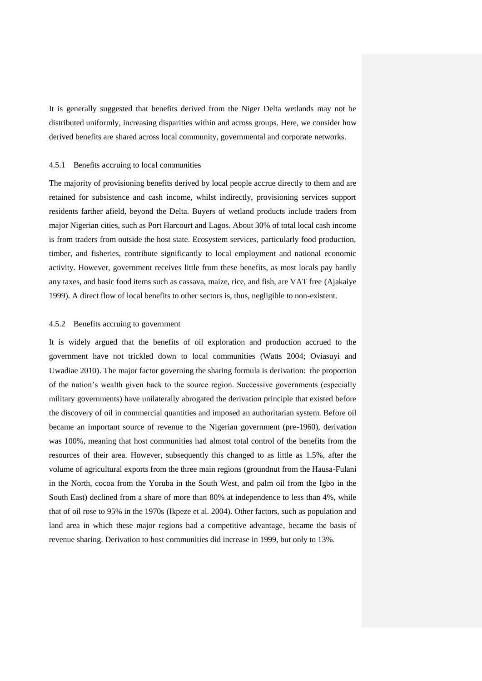It is generally suggested that benefits derived from the Niger Delta wetlands may not be distributed uniformly, increasing disparities within and across groups. Here, we consider how derived benefits are shared across local community, governmental and corporate networks.

#### 4.5.1 Benefits accruing to local communities

The majority of provisioning benefits derived by local people accrue directly to them and are retained for subsistence and cash income, whilst indirectly, provisioning services support residents farther afield, beyond the Delta. Buyers of wetland products include traders from major Nigerian cities, such as Port Harcourt and Lagos. About 30% of total local cash income is from traders from outside the host state. Ecosystem services, particularly food production, timber, and fisheries, contribute significantly to local employment and national economic activity. However, government receives little from these benefits, as most locals pay hardly any taxes, and basic food items such as cassava, maize, rice, and fish, are VAT free (Ajakaiye 1999). A direct flow of local benefits to other sectors is, thus, negligible to non-existent.

#### 4.5.2 Benefits accruing to government

It is widely argued that the benefits of oil exploration and production accrued to the government have not trickled down to local communities (Watts 2004; Oviasuyi and Uwadiae 2010). The major factor governing the sharing formula is derivation: the proportion of the nation's wealth given back to the source region. Successive governments (especially military governments) have unilaterally abrogated the derivation principle that existed before the discovery of oil in commercial quantities and imposed an authoritarian system. Before oil became an important source of revenue to the Nigerian government (pre-1960), derivation was 100%, meaning that host communities had almost total control of the benefits from the resources of their area. However, subsequently this changed to as little as 1.5%, after the volume of agricultural exports from the three main regions (groundnut from the Hausa-Fulani in the North, cocoa from the Yoruba in the South West, and palm oil from the Igbo in the South East) declined from a share of more than 80% at independence to less than 4%, while that of oil rose to 95% in the 1970s (Ikpeze et al. 2004). Other factors, such as population and land area in which these major regions had a competitive advantage, became the basis of revenue sharing. Derivation to host communities did increase in 1999, but only to 13%.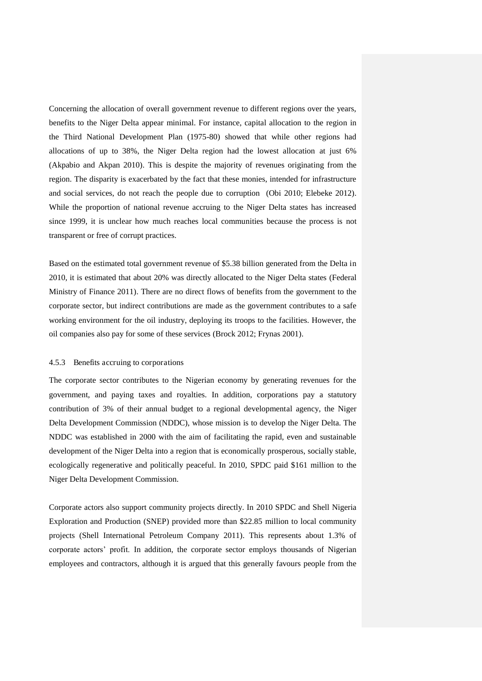Concerning the allocation of overall government revenue to different regions over the years, benefits to the Niger Delta appear minimal. For instance, capital allocation to the region in the Third National Development Plan (1975-80) showed that while other regions had allocations of up to 38%, the Niger Delta region had the lowest allocation at just 6% (Akpabio and Akpan 2010). This is despite the majority of revenues originating from the region. The disparity is exacerbated by the fact that these monies, intended for infrastructure and social services, do not reach the people due to corruption (Obi 2010; Elebeke 2012). While the proportion of national revenue accruing to the Niger Delta states has increased since 1999, it is unclear how much reaches local communities because the process is not transparent or free of corrupt practices.

Based on the estimated total government revenue of \$5.38 billion generated from the Delta in 2010, it is estimated that about 20% was directly allocated to the Niger Delta states (Federal Ministry of Finance 2011). There are no direct flows of benefits from the government to the corporate sector, but indirect contributions are made as the government contributes to a safe working environment for the oil industry, deploying its troops to the facilities. However, the oil companies also pay for some of these services (Brock 2012; Frynas 2001).

#### 4.5.3 Benefits accruing to corporations

The corporate sector contributes to the Nigerian economy by generating revenues for the government, and paying taxes and royalties. In addition, corporations pay a statutory contribution of 3% of their annual budget to a regional developmental agency, the Niger Delta Development Commission (NDDC), whose mission is to develop the Niger Delta. The NDDC was established in 2000 with the aim of facilitating the rapid, even and sustainable development of the Niger Delta into a region that is economically prosperous, socially stable, ecologically regenerative and politically peaceful. In 2010, SPDC paid \$161 million to the Niger Delta Development Commission.

Corporate actors also support community projects directly. In 2010 SPDC and Shell Nigeria Exploration and Production (SNEP) provided more than \$22.85 million to local community projects (Shell International Petroleum Company 2011). This represents about 1.3% of corporate actors' profit. In addition, the corporate sector employs thousands of Nigerian employees and contractors, although it is argued that this generally favours people from the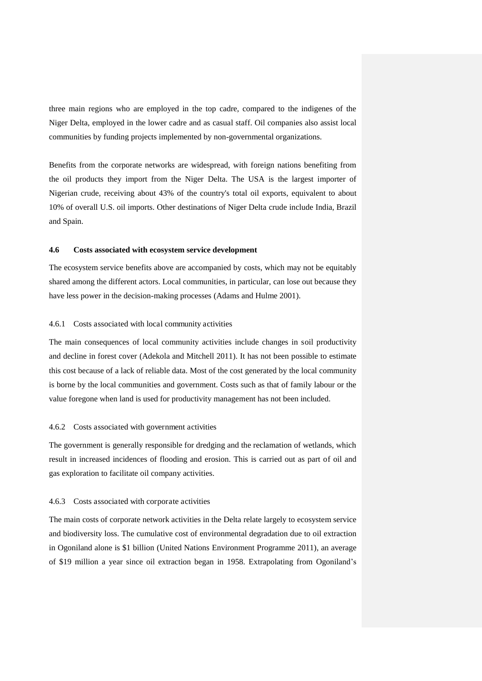three main regions who are employed in the top cadre, compared to the indigenes of the Niger Delta, employed in the lower cadre and as casual staff. Oil companies also assist local communities by funding projects implemented by non-governmental organizations.

Benefits from the corporate networks are widespread, with foreign nations benefiting from the oil products they import from the Niger Delta. The USA is the largest importer of Nigerian crude, receiving about 43% of the country's total oil exports, equivalent to about 10% of overall U.S. oil imports. Other destinations of Niger Delta crude include India, Brazil and Spain.

# **4.6 Costs associated with ecosystem service development**

The ecosystem service benefits above are accompanied by costs, which may not be equitably shared among the different actors. Local communities, in particular, can lose out because they have less power in the decision-making processes (Adams and Hulme 2001).

#### 4.6.1 Costs associated with local community activities

The main consequences of local community activities include changes in soil productivity and decline in forest cover (Adekola and Mitchell 2011). It has not been possible to estimate this cost because of a lack of reliable data. Most of the cost generated by the local community is borne by the local communities and government. Costs such as that of family labour or the value foregone when land is used for productivity management has not been included.

#### 4.6.2 Costs associated with government activities

The government is generally responsible for dredging and the reclamation of wetlands, which result in increased incidences of flooding and erosion. This is carried out as part of oil and gas exploration to facilitate oil company activities.

#### 4.6.3 Costs associated with corporate activities

The main costs of corporate network activities in the Delta relate largely to ecosystem service and biodiversity loss. The cumulative cost of environmental degradation due to oil extraction in Ogoniland alone is \$1 billion (United Nations Environment Programme 2011), an average of \$19 million a year since oil extraction began in 1958. Extrapolating from Ogoniland's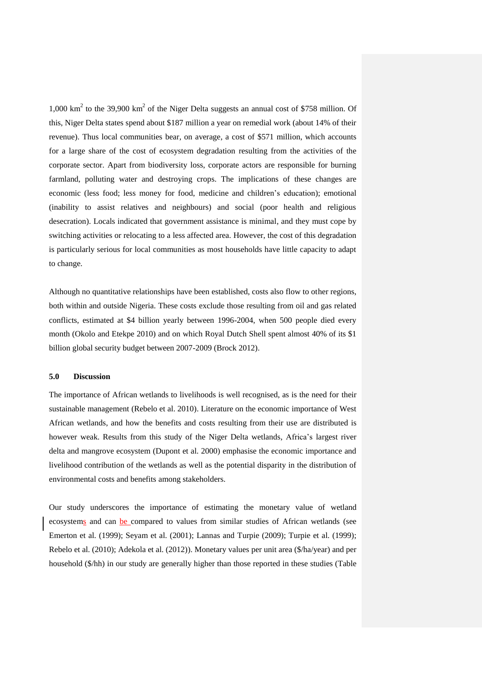1,000 km<sup>2</sup> to the 39,900 km<sup>2</sup> of the Niger Delta suggests an annual cost of \$758 million. Of this, Niger Delta states spend about \$187 million a year on remedial work (about 14% of their revenue). Thus local communities bear, on average, a cost of \$571 million, which accounts for a large share of the cost of ecosystem degradation resulting from the activities of the corporate sector. Apart from biodiversity loss, corporate actors are responsible for burning farmland, polluting water and destroying crops. The implications of these changes are economic (less food; less money for food, medicine and children's education); emotional (inability to assist relatives and neighbours) and social (poor health and religious desecration). Locals indicated that government assistance is minimal, and they must cope by switching activities or relocating to a less affected area. However, the cost of this degradation is particularly serious for local communities as most households have little capacity to adapt to change.

Although no quantitative relationships have been established, costs also flow to other regions, both within and outside Nigeria. These costs exclude those resulting from oil and gas related conflicts, estimated at \$4 billion yearly between 1996-2004, when 500 people died every month (Okolo and Etekpe 2010) and on which Royal Dutch Shell spent almost 40% of its \$1 billion global security budget between 2007-2009 (Brock 2012).

# **5.0 Discussion**

The importance of African wetlands to livelihoods is well recognised, as is the need for their sustainable management (Rebelo et al. 2010). Literature on the economic importance of West African wetlands, and how the benefits and costs resulting from their use are distributed is however weak. Results from this study of the Niger Delta wetlands, Africa's largest river delta and mangrove ecosystem (Dupont et al. 2000) emphasise the economic importance and livelihood contribution of the wetlands as well as the potential disparity in the distribution of environmental costs and benefits among stakeholders.

Our study underscores the importance of estimating the monetary value of wetland ecosystems and can be compared to values from similar studies of African wetlands (see Emerton et al. (1999); Seyam et al. (2001); Lannas and Turpie (2009); Turpie et al. (1999); Rebelo et al. (2010); Adekola et al. (2012)). Monetary values per unit area (\$/ha/year) and per household (\$/hh) in our study are generally higher than those reported in these studies (Table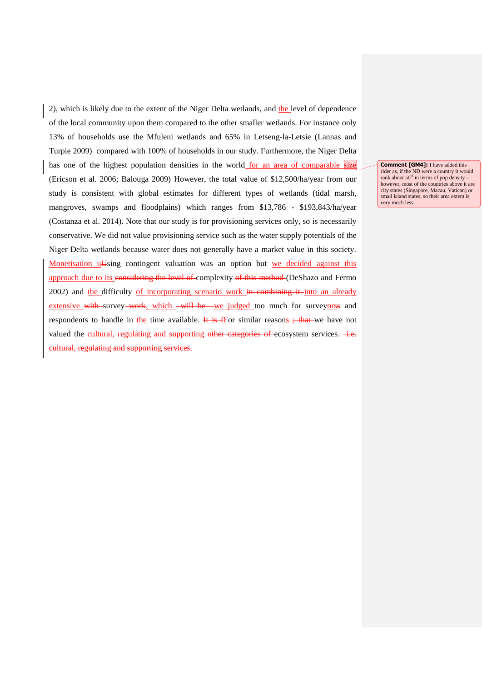2), which is likely due to the extent of the Niger Delta wetlands, and the level of dependence of the local community upon them compared to the other smaller wetlands. For instance only 13% of households use the Mfuleni wetlands and 65% in Letseng-la-Letsie (Lannas and Turpie 2009) compared with 100% of households in our study. Furthermore, the Niger Delta has one of the highest population densities in the world for an area of comparable size (Ericson et al. 2006; Balouga 2009) However, the total value of \$12,500/ha/year from our study is consistent with global estimates for different types of wetlands (tidal marsh, mangroves, swamps and floodplains) which ranges from \$13,786 - \$193,843/ha/year (Costanza et al. 2014). Note that our study is for provisioning services only, so is necessarily conservative. We did not value provisioning service such as the water supply potentials of the Niger Delta wetlands because water does not generally have a market value in this society. Monetisation u<del>U</del>sing contingent valuation was an option but we decided against this approach due to its considering the level of complexity of this method (DeShazo and Fermo  $2002$ ) and the difficulty of incorporating scenario work in combining it into an already extensive with survey work, which will be we judged too much for surveyorss and respondents to handle in the time available. It is fFor similar reasons  $\div$  that we have not valued the cultural, regulating and supporting other categories of ecosystem services. i.e. cultural, regulating and supporting services.

**Comment [GM4]:** I have added this rider as, if the ND were a country it would<br>rank about 50<sup>th</sup> in terms of pop density – however, most of the countries above it are city states (Singapore, Macau, Vatican) or small island states, so their area extent is very much less.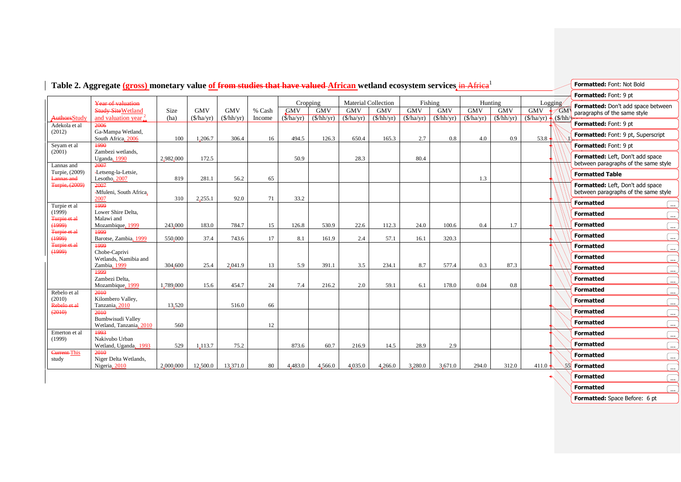| Year of valuation<br><b>Study Site Wetland</b><br>AuthorsStudy<br>and valuation year.<br>Adekola et al<br>2006<br>Ga-Mampa Wetland,<br>(2012)<br>South Africa, 2006<br>1990<br>Seyam et al<br>Zambezi wetlands,<br>(2001) | Size<br>(ha) | 100       | <b>GMV</b><br>$(\frac{\rho}{\rho})$<br>1,206.7 | <b>GMV</b><br>$(\frac{\rho}{\rho}$ hh/yr) | % Cash<br>Income | Cropping<br><b>GMV</b><br>(\$/ha/yr) | <b>GMV</b>                  | Material Collection |                               | Fishing    |                               |            |                             |                       |                      | Formatted: Font: 9 pt                                                    |  |
|---------------------------------------------------------------------------------------------------------------------------------------------------------------------------------------------------------------------------|--------------|-----------|------------------------------------------------|-------------------------------------------|------------------|--------------------------------------|-----------------------------|---------------------|-------------------------------|------------|-------------------------------|------------|-----------------------------|-----------------------|----------------------|--------------------------------------------------------------------------|--|
|                                                                                                                                                                                                                           |              |           |                                                |                                           |                  |                                      |                             |                     |                               |            |                               |            |                             |                       |                      |                                                                          |  |
|                                                                                                                                                                                                                           |              |           |                                                |                                           |                  |                                      |                             | <b>GMV</b>          | <b>GMV</b>                    | <b>GMV</b> | <b>GMV</b>                    | <b>GMV</b> | Hunting<br><b>GMV</b>       | Logging<br><b>GMV</b> | <b>GM</b>            | Formatted: Don't add space between<br>paragraphs of the same style       |  |
|                                                                                                                                                                                                                           |              |           |                                                |                                           |                  |                                      | $(\frac{\rho}{\rho}$ hh/yr) | (\$/ha/yr)          | $(\frac{\sqrt{h}}{\sqrt{h}})$ | (\$/ha/yr) | $(\frac{\sqrt{h}}{\sqrt{h}})$ | (\$/ha/yr) | $(\frac{\rho}{\rho}$ hh/yr) | (\$/ha/yr)            | $\sqrt{\frac{S}{h}}$ |                                                                          |  |
|                                                                                                                                                                                                                           |              |           |                                                |                                           |                  |                                      |                             |                     |                               |            |                               |            |                             |                       |                      | Formatted: Font: 9 pt                                                    |  |
|                                                                                                                                                                                                                           |              |           |                                                | 306.4                                     | 16               | 494.5                                | 126.3                       | 650.4               | 165.3                         | 2.7        | 0.8                           | 4.0        | 0.9                         | 53.8                  |                      | Formatted: Font: 9 pt, Superscript                                       |  |
|                                                                                                                                                                                                                           |              |           |                                                |                                           |                  |                                      |                             |                     |                               |            |                               |            |                             |                       |                      | Formatted: Font: 9 pt                                                    |  |
| Uganda, 1990<br>2007                                                                                                                                                                                                      | 2,982,000    |           | 172.5                                          |                                           |                  | 50.9                                 |                             | 28.3                |                               | 80.4       |                               |            |                             |                       |                      | Formatted: Left, Don't add space<br>between paragraphs of the same style |  |
| Lannas and<br>Turpie, (2009)<br>-Letseng-la-Letsie,                                                                                                                                                                       |              |           |                                                |                                           |                  |                                      |                             |                     |                               |            |                               |            |                             |                       |                      | <b>Formatted Table</b>                                                   |  |
| Lesotho, 2007<br><b>Lannas and</b>                                                                                                                                                                                        |              | 819       | 281.1                                          | 56.2                                      | 65               |                                      |                             |                     |                               |            |                               | 1.3        |                             |                       |                      |                                                                          |  |
| Turpie, (2009)<br>2007<br>-Mfuleni, South Africa,<br>2007                                                                                                                                                                 |              | 310       | 2,255.1                                        | 92.0                                      | 71               | 33.2                                 |                             |                     |                               |            |                               |            |                             |                       |                      | Formatted: Left, Don't add space<br>between paragraphs of the same style |  |
| 1999<br>Turpie et al                                                                                                                                                                                                      |              |           |                                                |                                           |                  |                                      |                             |                     |                               |            |                               |            |                             |                       |                      | <b>Formatted</b><br>$\ldots$                                             |  |
| (1999)<br>Lower Shire Delta.                                                                                                                                                                                              |              |           |                                                |                                           |                  |                                      |                             |                     |                               |            |                               |            |                             |                       |                      | <b>Formatted</b><br>$\cdots$                                             |  |
| Turpie et al<br>Malawi and<br>(1999)<br>Mozambique, 1999                                                                                                                                                                  |              | 243,000   | 183.0                                          | 784.7                                     | 15               | 126.8                                | 530.9                       | 22.6                | 112.3                         | 24.0       | 100.6                         | 0.4        | 1.7                         |                       |                      | <b>Formatted</b><br>$\ldots$                                             |  |
| Turpie et al<br>1999                                                                                                                                                                                                      |              |           |                                                |                                           |                  |                                      |                             |                     |                               |            |                               |            |                             |                       |                      | <b>Formatted</b><br>$\ldots$                                             |  |
| (1999)<br>Barotse, Zambia, 1999<br>Turpie et al<br>1999                                                                                                                                                                   |              | 550,000   | 37.4                                           | 743.6                                     | 17               | 8.1                                  | 161.9                       | 2.4                 | 57.1                          | 16.1       | 320.3                         |            |                             |                       |                      | <b>Formatted</b>                                                         |  |
| (1999)<br>Chobe-Caprivi                                                                                                                                                                                                   |              |           |                                                |                                           |                  |                                      |                             |                     |                               |            |                               |            |                             |                       |                      | $\cdots$<br><b>Formatted</b>                                             |  |
| Wetlands, Namibia and<br>Zambia, 1999                                                                                                                                                                                     |              | 304,600   | 25.4                                           | 2,041.9                                   | 13               | 5.9                                  | 391.1                       | 3.5                 | 234.1                         | 8.7        | 577.4                         | 0.3        | 87.3                        |                       |                      | .                                                                        |  |
| 1999                                                                                                                                                                                                                      |              |           |                                                |                                           |                  |                                      |                             |                     |                               |            |                               |            |                             |                       |                      | <b>Formatted</b><br>$\ldots$                                             |  |
| Zambezi Delta.<br>Mozambique, 1999                                                                                                                                                                                        | 1,789,000    |           | 15.6                                           | 454.7                                     | 24               | 7.4                                  | 216.2                       | 2.0                 | 59.1                          | 6.1        | 178.0                         | 0.04       | 0.8                         |                       |                      | <b>Formatted</b><br>$\ldots$                                             |  |
| Rebelo et al<br>2010                                                                                                                                                                                                      |              |           |                                                |                                           |                  |                                      |                             |                     |                               |            |                               |            |                             |                       |                      | <b>Formatted</b><br>.                                                    |  |
| (2010)<br>Kilombero Valley,<br>Rebelo et al<br>Tanzania, 2010                                                                                                                                                             |              | 13,520    |                                                |                                           |                  |                                      |                             |                     |                               |            |                               |            |                             |                       |                      | <b>Formatted</b><br>$\ldots$                                             |  |
| (2010)<br>2010                                                                                                                                                                                                            |              |           |                                                | 516.0                                     | 66               |                                      |                             |                     |                               |            |                               |            |                             |                       |                      | <b>Formatted</b><br>$\ldots$                                             |  |
| Bumbwisudi Valley<br>Wetland, Tanzania, 2010                                                                                                                                                                              |              | 560       |                                                |                                           | 12               |                                      |                             |                     |                               |            |                               |            |                             |                       |                      | <b>Formatted</b><br>l                                                    |  |
| 1993<br>Emerton et al                                                                                                                                                                                                     |              |           |                                                |                                           |                  |                                      |                             |                     |                               |            |                               |            |                             |                       |                      | <b>Formatted</b><br>$\ldots$                                             |  |
| (1999)<br>Nakivubo Urban<br>Wetland, Uganda, 1993                                                                                                                                                                         |              | 529       | 1,113.7                                        | 75.2                                      |                  | 873.6                                | 60.7                        | 216.9               | 14.5                          | 28.9       | 2.9                           |            |                             |                       |                      | <b>Formatted</b><br>$\ldots$                                             |  |
| Current-This<br>2010<br>Niger Delta Wetlands,                                                                                                                                                                             |              |           |                                                |                                           |                  |                                      |                             |                     |                               |            |                               |            |                             |                       |                      | <b>Formatted</b><br>〔…                                                   |  |
| study<br>Nigeria, 2010                                                                                                                                                                                                    |              | 2,000,000 | 12,500.0                                       | 13,371.0                                  | 80               | 4,483.0                              | 4,566.0                     | 4,035.0             | 4,266.0                       | 3,280.0    | 3,671.0                       | 294.0      | 312.0                       | 411.0                 |                      | 55 Formatted<br>$\cdots$                                                 |  |
|                                                                                                                                                                                                                           |              |           |                                                |                                           |                  |                                      |                             |                     |                               |            |                               |            |                             |                       |                      | <b>Formatted</b><br>$\ddotsc$                                            |  |

# **Table 2. Aggregate (gross) monetary value of from studies that have valued African wetland ecosystem services** in Africa<sup>1</sup>

**Formatted Formatted ...** 

**Formatted:** Space Before: 6 pt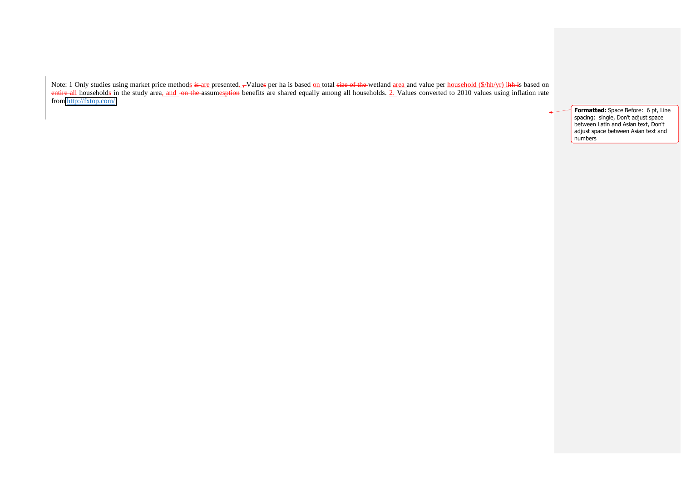Note: 1 Only studies using market price method<u>s</u> i<del>s </del>are presented. Notal sepert ha is based on total size of the wetland area and value per household (\$/hh/yr) ihh is based on entire all households in the study area, and on the assumesption benefits are shared equally among all households. 2. Values converted to 2010 values using inflation rate from<http://fxtop.com/>

> **Formatted:** Space Before: 6 pt, Line spacing: single, Don't adjust space between Latin and Asian text, Don't adjust space between Asian text and numbers

 $\overline{a}$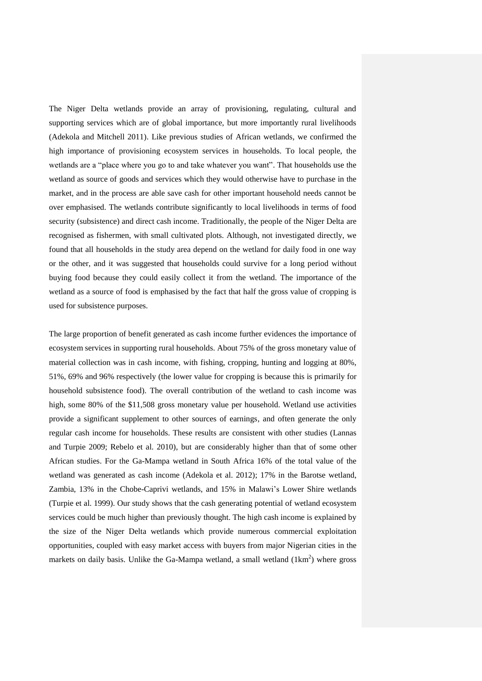The Niger Delta wetlands provide an array of provisioning, regulating, cultural and supporting services which are of global importance, but more importantly rural livelihoods (Adekola and Mitchell 2011). Like previous studies of African wetlands, we confirmed the high importance of provisioning ecosystem services in households. To local people, the wetlands are a "place where you go to and take whatever you want". That households use the wetland as source of goods and services which they would otherwise have to purchase in the market, and in the process are able save cash for other important household needs cannot be over emphasised. The wetlands contribute significantly to local livelihoods in terms of food security (subsistence) and direct cash income. Traditionally, the people of the Niger Delta are recognised as fishermen, with small cultivated plots. Although, not investigated directly, we found that all households in the study area depend on the wetland for daily food in one way or the other, and it was suggested that households could survive for a long period without buying food because they could easily collect it from the wetland. The importance of the wetland as a source of food is emphasised by the fact that half the gross value of cropping is used for subsistence purposes.

The large proportion of benefit generated as cash income further evidences the importance of ecosystem services in supporting rural households. About 75% of the gross monetary value of material collection was in cash income, with fishing, cropping, hunting and logging at 80%, 51%, 69% and 96% respectively (the lower value for cropping is because this is primarily for household subsistence food). The overall contribution of the wetland to cash income was high, some 80% of the \$11,508 gross monetary value per household. Wetland use activities provide a significant supplement to other sources of earnings, and often generate the only regular cash income for households. These results are consistent with other studies (Lannas and Turpie 2009; Rebelo et al. 2010), but are considerably higher than that of some other African studies. For the Ga-Mampa wetland in South Africa 16% of the total value of the wetland was generated as cash income (Adekola et al. 2012); 17% in the Barotse wetland, Zambia, 13% in the Chobe-Caprivi wetlands, and 15% in Malawi's Lower Shire wetlands (Turpie et al. 1999). Our study shows that the cash generating potential of wetland ecosystem services could be much higher than previously thought. The high cash income is explained by the size of the Niger Delta wetlands which provide numerous commercial exploitation opportunities, coupled with easy market access with buyers from major Nigerian cities in the markets on daily basis. Unlike the Ga-Mampa wetland, a small wetland  $(1km^2)$  where gross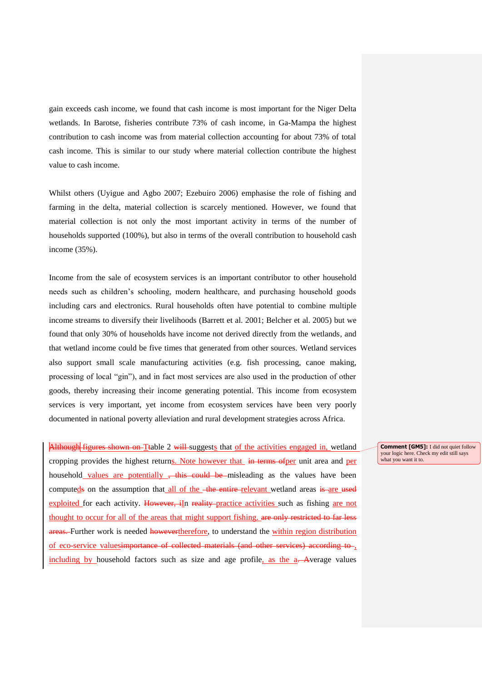gain exceeds cash income, we found that cash income is most important for the Niger Delta wetlands. In Barotse, fisheries contribute 73% of cash income, in Ga-Mampa the highest contribution to cash income was from material collection accounting for about 73% of total cash income. This is similar to our study where material collection contribute the highest value to cash income.

Whilst others (Uyigue and Agbo 2007; Ezebuiro 2006) emphasise the role of fishing and farming in the delta, material collection is scarcely mentioned. However, we found that material collection is not only the most important activity in terms of the number of households supported (100%), but also in terms of the overall contribution to household cash income (35%).

Income from the sale of ecosystem services is an important contributor to other household needs such as children's schooling, modern healthcare, and purchasing household goods including cars and electronics. Rural households often have potential to combine multiple income streams to diversify their livelihoods (Barrett et al. 2001; Belcher et al. 2005) but we found that only 30% of households have income not derived directly from the wetlands, and that wetland income could be five times that generated from other sources. Wetland services also support small scale manufacturing activities (e.g. fish processing, canoe making, processing of local "gin"), and in fact most services are also used in the production of other goods, thereby increasing their income generating potential. This income from ecosystem services is very important, yet income from ecosystem services have been very poorly documented in national poverty alleviation and rural development strategies across Africa.

Although figures shown on Ttable 2 will suggests that of the activities engaged in, wetland cropping provides the highest returns. Note however that in terms ofper unit area and per household values are potentially , this could be misleading as the values have been computeds on the assumption that all of the the entire relevant wetland areas is are used exploited for each activity. However, iIn reality practice activities such as fishing are not thought to occur for all of the areas that might support fishing. are only restricted to far less areas. Further work is needed howevertherefore, to understand the within region distribution of eco-service valuesimportance of collected materials (and other services) according to , including by household factors such as size and age profile, as the a. Average values

**Comment [GM5]:** I did not quiet follow your logic here. Check my edit still says what you want it to.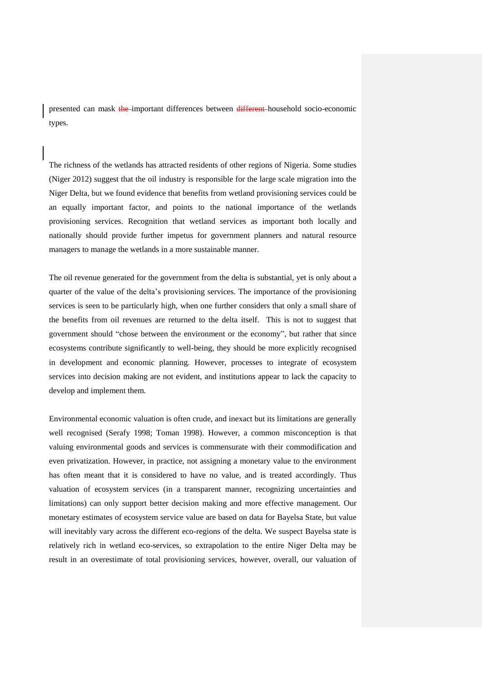presented can mask the important differences between different household socio-economic types.

The richness of the wetlands has attracted residents of other regions of Nigeria. Some studies (Niger 2012) suggest that the oil industry is responsible for the large scale migration into the Niger Delta, but we found evidence that benefits from wetland provisioning services could be an equally important factor, and points to the national importance of the wetlands provisioning services. Recognition that wetland services as important both locally and nationally should provide further impetus for government planners and natural resource managers to manage the wetlands in a more sustainable manner.

The oil revenue generated for the government from the delta is substantial, yet is only about a quarter of the value of the delta's provisioning services. The importance of the provisioning services is seen to be particularly high, when one further considers that only a small share of the benefits from oil revenues are returned to the delta itself. This is not to suggest that government should "chose between the environment or the economy", but rather that since ecosystems contribute significantly to well-being, they should be more explicitly recognised in development and economic planning. However, processes to integrate of ecosystem services into decision making are not evident, and institutions appear to lack the capacity to develop and implement them.

Environmental economic valuation is often crude, and inexact but its limitations are generally well recognised (Serafy 1998; Toman 1998). However, a common misconception is that valuing environmental goods and services is commensurate with their commodification and even privatization. However, in practice, not assigning a monetary value to the environment has often meant that it is considered to have no value, and is treated accordingly. Thus valuation of ecosystem services (in a transparent manner, recognizing uncertainties and limitations) can only support better decision making and more effective management. Our monetary estimates of ecosystem service value are based on data for Bayelsa State, but value will inevitably vary across the different eco-regions of the delta. We suspect Bayelsa state is relatively rich in wetland eco-services, so extrapolation to the entire Niger Delta may be result in an overestimate of total provisioning services, however, overall, our valuation of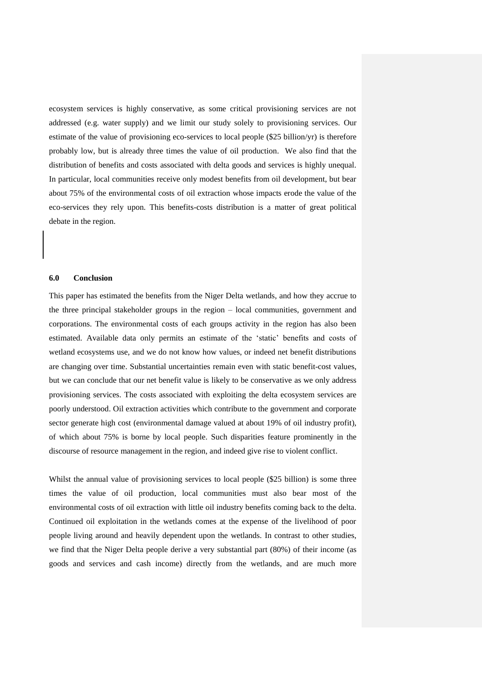ecosystem services is highly conservative, as some critical provisioning services are not addressed (e.g. water supply) and we limit our study solely to provisioning services. Our estimate of the value of provisioning eco-services to local people (\$25 billion/yr) is therefore probably low, but is already three times the value of oil production. We also find that the distribution of benefits and costs associated with delta goods and services is highly unequal. In particular, local communities receive only modest benefits from oil development, but bear about 75% of the environmental costs of oil extraction whose impacts erode the value of the eco-services they rely upon. This benefits-costs distribution is a matter of great political debate in the region.

# **6.0 Conclusion**

This paper has estimated the benefits from the Niger Delta wetlands, and how they accrue to the three principal stakeholder groups in the region – local communities, government and corporations. The environmental costs of each groups activity in the region has also been estimated. Available data only permits an estimate of the 'static' benefits and costs of wetland ecosystems use, and we do not know how values, or indeed net benefit distributions are changing over time. Substantial uncertainties remain even with static benefit-cost values, but we can conclude that our net benefit value is likely to be conservative as we only address provisioning services. The costs associated with exploiting the delta ecosystem services are poorly understood. Oil extraction activities which contribute to the government and corporate sector generate high cost (environmental damage valued at about 19% of oil industry profit), of which about 75% is borne by local people. Such disparities feature prominently in the discourse of resource management in the region, and indeed give rise to violent conflict.

Whilst the annual value of provisioning services to local people (\$25 billion) is some three times the value of oil production, local communities must also bear most of the environmental costs of oil extraction with little oil industry benefits coming back to the delta. Continued oil exploitation in the wetlands comes at the expense of the livelihood of poor people living around and heavily dependent upon the wetlands. In contrast to other studies, we find that the Niger Delta people derive a very substantial part (80%) of their income (as goods and services and cash income) directly from the wetlands, and are much more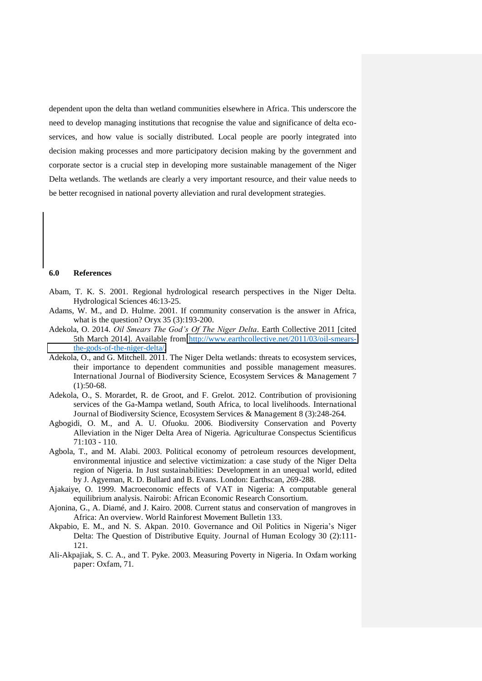dependent upon the delta than wetland communities elsewhere in Africa. This underscore the need to develop managing institutions that recognise the value and significance of delta ecoservices, and how value is socially distributed. Local people are poorly integrated into decision making processes and more participatory decision making by the government and corporate sector is a crucial step in developing more sustainable management of the Niger Delta wetlands. The wetlands are clearly a very important resource, and their value needs to be better recognised in national poverty alleviation and rural development strategies.

# **6.0 References**

- Abam, T. K. S. 2001. Regional hydrological research perspectives in the Niger Delta. Hydrological Sciences 46:13-25.
- Adams, W. M., and D. Hulme. 2001. If community conservation is the answer in Africa, what is the question? Oryx 35 (3):193-200.
- Adekola, O. 2014. *Oil Smears The God's Of The Niger Delta*. Earth Collective 2011 [cited 5th March 2014]. Available from [http://www.earthcollective.net/2011/03/oil-smears](http://www.earthcollective.net/2011/03/oil-smears-the-gods-of-the-niger-delta/)[the-gods-of-the-niger-delta/.](http://www.earthcollective.net/2011/03/oil-smears-the-gods-of-the-niger-delta/)
- Adekola, O., and G. Mitchell. 2011. The Niger Delta wetlands: threats to ecosystem services, their importance to dependent communities and possible management measures. International Journal of Biodiversity Science, Ecosystem Services & Management 7  $(1):50-68.$
- Adekola, O., S. Morardet, R. de Groot, and F. Grelot. 2012. Contribution of provisioning services of the Ga-Mampa wetland, South Africa, to local livelihoods. International Journal of Biodiversity Science, Ecosystem Services & Management 8 (3):248-264.
- Agbogidi, O. M., and A. U. Ofuoku. 2006. Biodiversity Conservation and Poverty Alleviation in the Niger Delta Area of Nigeria. Agriculturae Conspectus Scientificus 71:103 - 110.
- Agbola, T., and M. Alabi. 2003. Political economy of petroleum resources development, environmental injustice and selective victimization: a case study of the Niger Delta region of Nigeria. In Just sustainabilities: Development in an unequal world, edited by J. Agyeman, R. D. Bullard and B. Evans. London: Earthscan, 269-288.
- Ajakaiye, O. 1999. Macroeconomic effects of VAT in Nigeria: A computable general equilibrium analysis. Nairobi: African Economic Research Consortium.
- Ajonina, G., A. Diamé, and J. Kairo. 2008. Current status and conservation of mangroves in Africa: An overview. World Rainforest Movement Bulletin 133.
- Akpabio, E. M., and N. S. Akpan. 2010. Governance and Oil Politics in Nigeria's Niger Delta: The Question of Distributive Equity. Journal of Human Ecology 30 (2):111- 121.
- Ali-Akpajiak, S. C. A., and T. Pyke. 2003. Measuring Poverty in Nigeria. In Oxfam working paper: Oxfam, 71.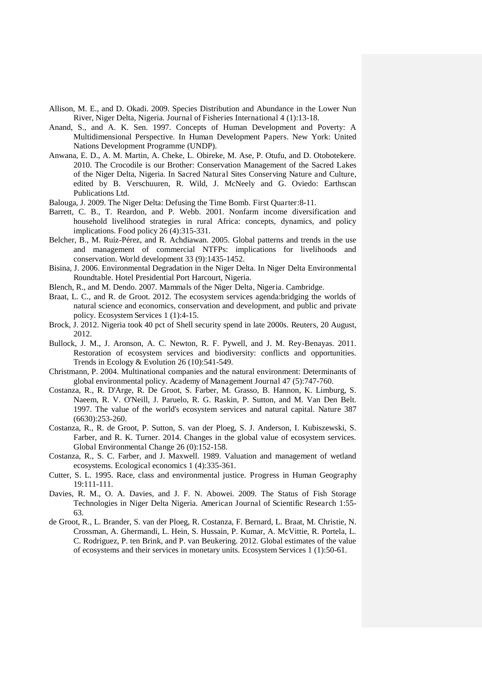- Allison, M. E., and D. Okadi. 2009. Species Distribution and Abundance in the Lower Nun River, Niger Delta, Nigeria. Journal of Fisheries International 4 (1):13-18.
- Anand, S., and A. K. Sen. 1997. Concepts of Human Development and Poverty: A Multidimensional Perspective. In Human Development Papers. New York: United Nations Development Programme (UNDP).
- Anwana, E. D., A. M. Martin, A. Cheke, L. Obireke, M. Ase, P. Otufu, and D. Otobotekere. 2010. The Crocodile is our Brother: Conservation Management of the Sacred Lakes of the Niger Delta, Nigeria. In Sacred Natural Sites Conserving Nature and Culture, edited by B. Verschuuren, R. Wild, J. McNeely and G. Oviedo: Earthscan Publications Ltd.
- Balouga, J. 2009. The Niger Delta: Defusing the Time Bomb. First Quarter:8-11.
- Barrett, C. B., T. Reardon, and P. Webb. 2001. Nonfarm income diversification and household livelihood strategies in rural Africa: concepts, dynamics, and policy implications. Food policy 26 (4):315-331.
- Belcher, B., M. Ruíz-Pérez, and R. Achdiawan. 2005. Global patterns and trends in the use and management of commercial NTFPs: implications for livelihoods and conservation. World development 33 (9):1435-1452.
- Bisina, J. 2006. Environmental Degradation in the Niger Delta. In Niger Delta Environmental Roundtable. Hotel Presidential Port Harcourt, Nigeria.
- Blench, R., and M. Dendo. 2007. Mammals of the Niger Delta, Nigeria. Cambridge.
- Braat, L. C., and R. de Groot. 2012. The ecosystem services agenda:bridging the worlds of natural science and economics, conservation and development, and public and private policy. Ecosystem Services 1 (1):4-15.
- Brock, J. 2012. Nigeria took 40 pct of Shell security spend in late 2000s. Reuters, 20 August, 2012.
- Bullock, J. M., J. Aronson, A. C. Newton, R. F. Pywell, and J. M. Rey-Benayas. 2011. Restoration of ecosystem services and biodiversity: conflicts and opportunities. Trends in Ecology & Evolution 26 (10):541-549.
- Christmann, P. 2004. Multinational companies and the natural environment: Determinants of global environmental policy. Academy of Management Journal 47 (5):747-760.
- Costanza, R., R. D'Arge, R. De Groot, S. Farber, M. Grasso, B. Hannon, K. Limburg, S. Naeem, R. V. O'Neill, J. Paruelo, R. G. Raskin, P. Sutton, and M. Van Den Belt. 1997. The value of the world's ecosystem services and natural capital. Nature 387 (6630):253-260.
- Costanza, R., R. de Groot, P. Sutton, S. van der Ploeg, S. J. Anderson, I. Kubiszewski, S. Farber, and R. K. Turner. 2014. Changes in the global value of ecosystem services. Global Environmental Change 26 (0):152-158.
- Costanza, R., S. C. Farber, and J. Maxwell. 1989. Valuation and management of wetland ecosystems. Ecological economics 1 (4):335-361.
- Cutter, S. L. 1995. Race, class and environmental justice. Progress in Human Geography 19:111-111.
- Davies, R. M., O. A. Davies, and J. F. N. Abowei. 2009. The Status of Fish Storage Technologies in Niger Delta Nigeria. American Journal of Scientific Research 1:55- 63.
- de Groot, R., L. Brander, S. van der Ploeg, R. Costanza, F. Bernard, L. Braat, M. Christie, N. Crossman, A. Ghermandi, L. Hein, S. Hussain, P. Kumar, A. McVittie, R. Portela, L. C. Rodriguez, P. ten Brink, and P. van Beukering. 2012. Global estimates of the value of ecosystems and their services in monetary units. Ecosystem Services 1 (1):50-61.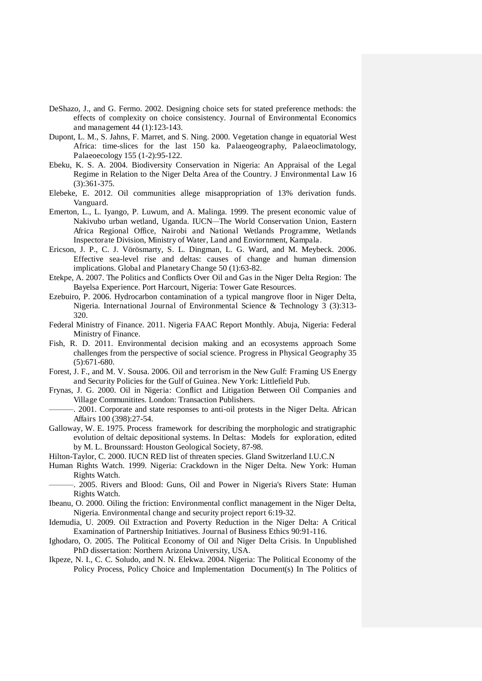- DeShazo, J., and G. Fermo. 2002. Designing choice sets for stated preference methods: the effects of complexity on choice consistency. Journal of Environmental Economics and management 44 (1):123-143.
- Dupont, L. M., S. Jahns, F. Marret, and S. Ning. 2000. Vegetation change in equatorial West Africa: time-slices for the last 150 ka. Palaeogeography, Palaeoclimatology, Palaeoecology 155 (1-2):95-122.
- Ebeku, K. S. A. 2004. Biodiversity Conservation in Nigeria: An Appraisal of the Legal Regime in Relation to the Niger Delta Area of the Country. J Environmental Law 16 (3):361-375.
- Elebeke, E. 2012. Oil communities allege misappropriation of 13% derivation funds. Vanguard.
- Emerton, L., L. Iyango, P. Luwum, and A. Malinga. 1999. The present economic value of Nakivubo urban wetland, Uganda. IUCN*—*The World Conservation Union, Eastern Africa Regional Office, Nairobi and National Wetlands Programme, Wetlands Inspectorate Division, Ministry of Water, Land and Enviornment, Kampala.
- Ericson, J. P., C. J. Vörösmarty, S. L. Dingman, L. G. Ward, and M. Meybeck. 2006. Effective sea-level rise and deltas: causes of change and human dimension implications. Global and Planetary Change 50 (1):63-82.
- Etekpe, A. 2007. The Politics and Conflicts Over Oil and Gas in the Niger Delta Region: The Bayelsa Experience. Port Harcourt, Nigeria: Tower Gate Resources.
- Ezebuiro, P. 2006. Hydrocarbon contamination of a typical mangrove floor in Niger Delta, Nigeria. International Journal of Environmental Science & Technology 3 (3):313- 320.
- Federal Ministry of Finance. 2011. Nigeria FAAC Report Monthly. Abuja, Nigeria: Federal Ministry of Finance.
- Fish, R. D. 2011. Environmental decision making and an ecosystems approach Some challenges from the perspective of social science. Progress in Physical Geography 35 (5):671-680.
- Forest, J. F., and M. V. Sousa. 2006. Oil and terrorism in the New Gulf: Framing US Energy and Security Policies for the Gulf of Guinea. New York: Littlefield Pub.
- Frynas, J. G. 2000. Oil in Nigeria: Conflict and Litigation Between Oil Companies and Village Communitites. London: Transaction Publishers.
	- -. 2001. Corporate and state responses to anti-oil protests in the Niger Delta. African Affairs 100 (398):27-54.
- Galloway, W. E. 1975. Process framework for describing the morphologic and stratigraphic evolution of deltaic depositional systems. In Deltas: Models for exploration, edited by M. L. Brounssard: Houston Geological Society, 87-98.
- Hilton-Taylor, C. 2000. IUCN RED list of threaten species. Gland Switzerland I.U.C.N
- Human Rights Watch. 1999. Nigeria: Crackdown in the Niger Delta. New York: Human Rights Watch.
- ———. 2005. Rivers and Blood: Guns, Oil and Power in Nigeria's Rivers State: Human Rights Watch.
- Ibeanu, O. 2000. Oiling the friction: Environmental conflict management in the Niger Delta, Nigeria. Environmental change and security project report 6:19-32.
- Idemudia, U. 2009. Oil Extraction and Poverty Reduction in the Niger Delta: A Critical Examination of Partnership Initiatives. Journal of Business Ethics 90:91-116.
- Ighodaro, O. 2005. The Political Economy of Oil and Niger Delta Crisis. In Unpublished PhD dissertation: Northern Arizona University, USA.
- Ikpeze, N. I., C. C. Soludo, and N. N. Elekwa. 2004. Nigeria: The Political Economy of the Policy Process, Policy Choice and Implementation Document(s) In The Politics of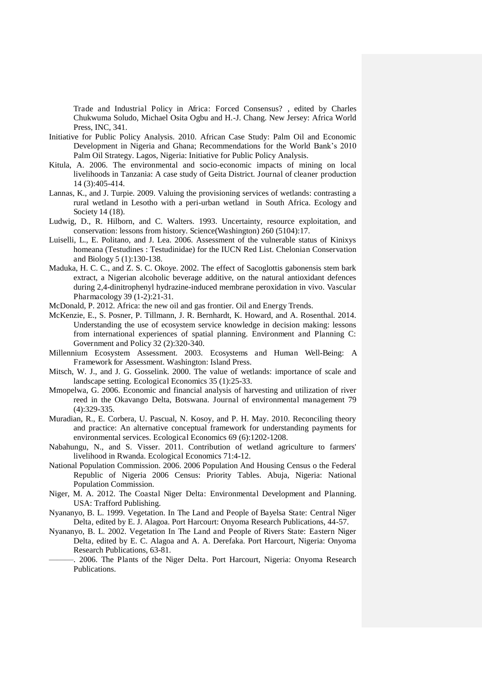Trade and Industrial Policy in Africa: Forced Consensus? , edited by Charles Chukwuma Soludo, Michael Osita Ogbu and H.-J. Chang. New Jersey: Africa World Press, INC, 341.

- Initiative for Public Policy Analysis. 2010. African Case Study: Palm Oil and Economic Development in Nigeria and Ghana; Recommendations for the World Bank's 2010 Palm Oil Strategy. Lagos, Nigeria: Initiative for Public Policy Analysis.
- Kitula, A. 2006. The environmental and socio-economic impacts of mining on local livelihoods in Tanzania: A case study of Geita District. Journal of cleaner production 14 (3):405-414.
- Lannas, K., and J. Turpie. 2009. Valuing the provisioning services of wetlands: contrasting a rural wetland in Lesotho with a peri-urban wetland in South Africa. Ecology and Society 14 (18).
- Ludwig, D., R. Hilborn, and C. Walters. 1993. Uncertainty, resource exploitation, and conservation: lessons from history. Science(Washington) 260 (5104):17.
- Luiselli, L., E. Politano, and J. Lea. 2006. Assessment of the vulnerable status of Kinixys homeana (Testudines : Testudinidae) for the IUCN Red List. Chelonian Conservation and Biology 5 (1):130-138.
- Maduka, H. C. C., and Z. S. C. Okoye. 2002. The effect of Sacoglottis gabonensis stem bark extract, a Nigerian alcoholic beverage additive, on the natural antioxidant defences during 2,4-dinitrophenyl hydrazine-induced membrane peroxidation in vivo. Vascular Pharmacology 39 (1-2):21-31.
- McDonald, P. 2012. Africa: the new oil and gas frontier. Oil and Energy Trends.
- McKenzie, E., S. Posner, P. Tillmann, J. R. Bernhardt, K. Howard, and A. Rosenthal. 2014. Understanding the use of ecosystem service knowledge in decision making: lessons from international experiences of spatial planning. Environment and Planning C: Government and Policy 32 (2):320-340.
- Millennium Ecosystem Assessment. 2003. Ecosystems and Human Well-Being: A Framework for Assessment. Washington: Island Press.
- Mitsch, W. J., and J. G. Gosselink. 2000. The value of wetlands: importance of scale and landscape setting. Ecological Economics 35 (1):25-33.
- Mmopelwa, G. 2006. Economic and financial analysis of harvesting and utilization of river reed in the Okavango Delta, Botswana. Journal of environmental management 79 (4):329-335.
- Muradian, R., E. Corbera, U. Pascual, N. Kosoy, and P. H. May. 2010. Reconciling theory and practice: An alternative conceptual framework for understanding payments for environmental services. Ecological Economics 69 (6):1202-1208.
- Nabahungu, N., and S. Visser. 2011. Contribution of wetland agriculture to farmers' livelihood in Rwanda. Ecological Economics 71:4-12.
- National Population Commission. 2006. 2006 Population And Housing Census o the Federal Republic of Nigeria 2006 Census: Priority Tables. Abuja, Nigeria: National Population Commission.
- Niger, M. A. 2012. The Coastal Niger Delta: Environmental Development and Planning. USA: Trafford Publishing.
- Nyananyo, B. L. 1999. Vegetation. In The Land and People of Bayelsa State: Central Niger Delta, edited by E. J. Alagoa. Port Harcourt: Onyoma Research Publications, 44-57.
- Nyananyo, B. L. 2002. Vegetation In The Land and People of Rivers State: Eastern Niger Delta, edited by E. C. Alagoa and A. A. Derefaka. Port Harcourt, Nigeria: Onyoma Research Publications, 63-81.
	- ———. 2006. The Plants of the Niger Delta. Port Harcourt, Nigeria: Onyoma Research Publications.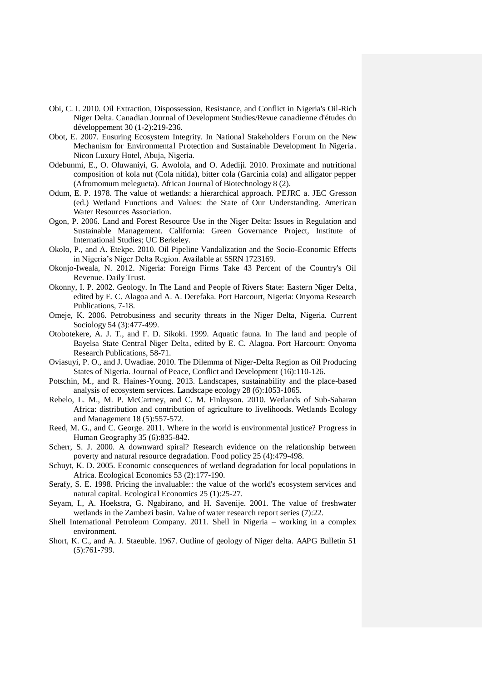- Obi, C. I. 2010. Oil Extraction, Dispossession, Resistance, and Conflict in Nigeria's Oil-Rich Niger Delta. Canadian Journal of Development Studies/Revue canadienne d'études du développement 30 (1-2):219-236.
- Obot, E. 2007. Ensuring Ecosystem Integrity. In National Stakeholders Forum on the New Mechanism for Environmental Protection and Sustainable Development In Nigeria. Nicon Luxury Hotel, Abuja, Nigeria.
- Odebunmi, E., O. Oluwaniyi, G. Awolola, and O. Adediji. 2010. Proximate and nutritional composition of kola nut (Cola nitida), bitter cola (Garcinia cola) and alligator pepper (Afromomum melegueta). African Journal of Biotechnology 8 (2).
- Odum, E. P. 1978. The value of wetlands: a hierarchical approach. PEJRC a. JEC Gresson (ed.) Wetland Functions and Values: the State of Our Understanding. American Water Resources Association.
- Ogon, P. 2006. Land and Forest Resource Use in the Niger Delta: Issues in Regulation and Sustainable Management. California: Green Governance Project, Institute of International Studies; UC Berkeley.
- Okolo, P., and A. Etekpe. 2010. Oil Pipeline Vandalization and the Socio-Economic Effects in Nigeria's Niger Delta Region. Available at SSRN 1723169.
- Okonjo-Iweala, N. 2012. Nigeria: Foreign Firms Take 43 Percent of the Country's Oil Revenue. Daily Trust.
- Okonny, I. P. 2002. Geology. In The Land and People of Rivers State: Eastern Niger Delta, edited by E. C. Alagoa and A. A. Derefaka. Port Harcourt, Nigeria: Onyoma Research Publications, 7-18.
- Omeje, K. 2006. Petrobusiness and security threats in the Niger Delta, Nigeria. Current Sociology 54 (3):477-499.
- Otobotekere, A. J. T., and F. D. Sikoki. 1999. Aquatic fauna. In The land and people of Bayelsa State Central Niger Delta, edited by E. C. Alagoa. Port Harcourt: Onyoma Research Publications, 58-71.
- Oviasuyi, P. O., and J. Uwadiae. 2010. The Dilemma of Niger-Delta Region as Oil Producing States of Nigeria. Journal of Peace, Conflict and Development (16):110-126.
- Potschin, M., and R. Haines-Young. 2013. Landscapes, sustainability and the place-based analysis of ecosystem services. Landscape ecology 28 (6):1053-1065.
- Rebelo, L. M., M. P. McCartney, and C. M. Finlayson. 2010. Wetlands of Sub-Saharan Africa: distribution and contribution of agriculture to livelihoods. Wetlands Ecology and Management 18 (5):557-572.
- Reed, M. G., and C. George. 2011. Where in the world is environmental justice? Progress in Human Geography 35 (6):835-842.
- Scherr, S. J. 2000. A downward spiral? Research evidence on the relationship between poverty and natural resource degradation. Food policy 25 (4):479-498.
- Schuyt, K. D. 2005. Economic consequences of wetland degradation for local populations in Africa. Ecological Economics 53 (2):177-190.
- Serafy, S. E. 1998. Pricing the invaluable:: the value of the world's ecosystem services and natural capital. Ecological Economics 25 (1):25-27.
- Seyam, I., A. Hoekstra, G. Ngabirano, and H. Savenije. 2001. The value of freshwater wetlands in the Zambezi basin. Value of water research report series (7):22.
- Shell International Petroleum Company. 2011. Shell in Nigeria working in a complex environment.
- Short, K. C., and A. J. Staeuble. 1967. Outline of geology of Niger delta. AAPG Bulletin 51 (5):761-799.